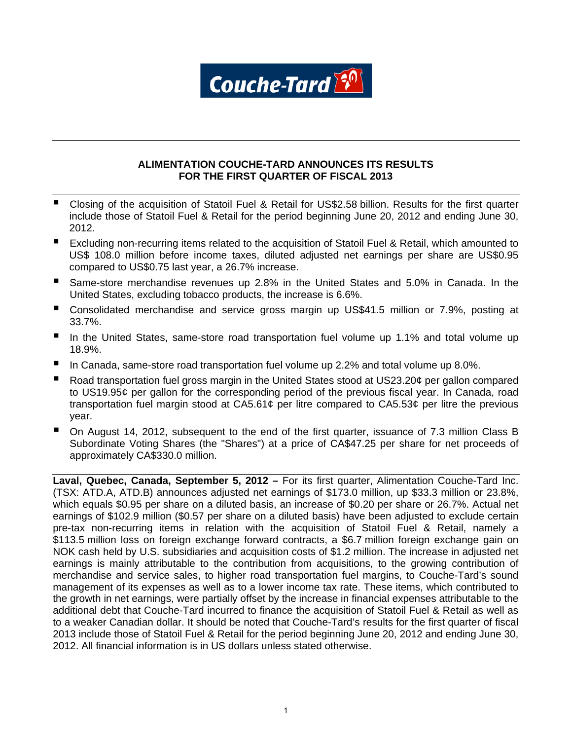

## **ALIMENTATION COUCHE-TARD ANNOUNCES ITS RESULTS FOR THE FIRST QUARTER OF FISCAL 2013**

- Closing of the acquisition of Statoil Fuel & Retail for US\$2.58 billion. Results for the first quarter include those of Statoil Fuel & Retail for the period beginning June 20, 2012 and ending June 30, 2012.
- Excluding non-recurring items related to the acquisition of Statoil Fuel & Retail, which amounted to US\$ 108.0 million before income taxes, diluted adjusted net earnings per share are US\$0.95 compared to US\$0.75 last year, a 26.7% increase.
- Same-store merchandise revenues up 2.8% in the United States and 5.0% in Canada. In the United States, excluding tobacco products, the increase is 6.6%.
- Consolidated merchandise and service gross margin up US\$41.5 million or 7.9%, posting at 33.7%.
- In the United States, same-store road transportation fuel volume up 1.1% and total volume up 18.9%.
- In Canada, same-store road transportation fuel volume up 2.2% and total volume up 8.0%.
- Road transportation fuel gross margin in the United States stood at US23.20¢ per gallon compared to US19.95¢ per gallon for the corresponding period of the previous fiscal year. In Canada, road transportation fuel margin stood at CA5.61¢ per litre compared to CA5.53¢ per litre the previous year.
- On August 14, 2012, subsequent to the end of the first quarter, issuance of 7.3 million Class B Subordinate Voting Shares (the "Shares") at a price of CA\$47.25 per share for net proceeds of approximately CA\$330.0 million.

**Laval, Quebec, Canada, September 5, 2012 –** For its first quarter, Alimentation Couche-Tard Inc. (TSX: ATD.A, ATD.B) announces adjusted net earnings of \$173.0 million, up \$33.3 million or 23.8%, which equals \$0.95 per share on a diluted basis, an increase of \$0.20 per share or 26.7%. Actual net earnings of \$102.9 million (\$0.57 per share on a diluted basis) have been adjusted to exclude certain pre-tax non-recurring items in relation with the acquisition of Statoil Fuel & Retail, namely a \$113.5 million loss on foreign exchange forward contracts, a \$6.7 million foreign exchange gain on NOK cash held by U.S. subsidiaries and acquisition costs of \$1.2 million. The increase in adjusted net earnings is mainly attributable to the contribution from acquisitions, to the growing contribution of merchandise and service sales, to higher road transportation fuel margins, to Couche-Tard's sound management of its expenses as well as to a lower income tax rate. These items, which contributed to the growth in net earnings, were partially offset by the increase in financial expenses attributable to the additional debt that Couche-Tard incurred to finance the acquisition of Statoil Fuel & Retail as well as to a weaker Canadian dollar. It should be noted that Couche-Tard's results for the first quarter of fiscal 2013 include those of Statoil Fuel & Retail for the period beginning June 20, 2012 and ending June 30, 2012. All financial information is in US dollars unless stated otherwise.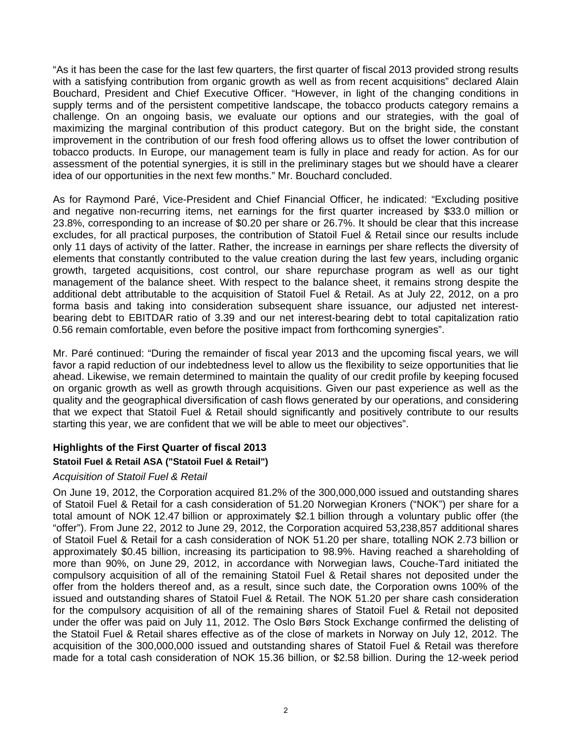"As it has been the case for the last few quarters, the first quarter of fiscal 2013 provided strong results with a satisfying contribution from organic growth as well as from recent acquisitions" declared Alain Bouchard, President and Chief Executive Officer. "However, in light of the changing conditions in supply terms and of the persistent competitive landscape, the tobacco products category remains a challenge. On an ongoing basis, we evaluate our options and our strategies, with the goal of maximizing the marginal contribution of this product category. But on the bright side, the constant improvement in the contribution of our fresh food offering allows us to offset the lower contribution of tobacco products. In Europe, our management team is fully in place and ready for action. As for our assessment of the potential synergies, it is still in the preliminary stages but we should have a clearer idea of our opportunities in the next few months." Mr. Bouchard concluded.

As for Raymond Paré, Vice-President and Chief Financial Officer, he indicated: "Excluding positive and negative non-recurring items, net earnings for the first quarter increased by \$33.0 million or 23.8%, corresponding to an increase of \$0.20 per share or 26.7%. It should be clear that this increase excludes, for all practical purposes, the contribution of Statoil Fuel & Retail since our results include only 11 days of activity of the latter. Rather, the increase in earnings per share reflects the diversity of elements that constantly contributed to the value creation during the last few years, including organic growth, targeted acquisitions, cost control, our share repurchase program as well as our tight management of the balance sheet. With respect to the balance sheet, it remains strong despite the additional debt attributable to the acquisition of Statoil Fuel & Retail. As at July 22, 2012, on a pro forma basis and taking into consideration subsequent share issuance, our adjusted net interestbearing debt to EBITDAR ratio of 3.39 and our net interest-bearing debt to total capitalization ratio 0.56 remain comfortable, even before the positive impact from forthcoming synergies".

Mr. Paré continued: "During the remainder of fiscal year 2013 and the upcoming fiscal years, we will favor a rapid reduction of our indebtedness level to allow us the flexibility to seize opportunities that lie ahead. Likewise, we remain determined to maintain the quality of our credit profile by keeping focused on organic growth as well as growth through acquisitions. Given our past experience as well as the quality and the geographical diversification of cash flows generated by our operations, and considering that we expect that Statoil Fuel & Retail should significantly and positively contribute to our results starting this year, we are confident that we will be able to meet our objectives".

## **Highlights of the First Quarter of fiscal 2013**

## **Statoil Fuel & Retail ASA ("Statoil Fuel & Retail")**

## *Acquisition of Statoil Fuel & Retail*

On June 19, 2012, the Corporation acquired 81.2% of the 300,000,000 issued and outstanding shares of Statoil Fuel & Retail for a cash consideration of 51.20 Norwegian Kroners ("NOK") per share for a total amount of NOK 12.47 billion or approximately \$2.1 billion through a voluntary public offer (the "offer"). From June 22, 2012 to June 29, 2012, the Corporation acquired 53,238,857 additional shares of Statoil Fuel & Retail for a cash consideration of NOK 51.20 per share, totalling NOK 2.73 billion or approximately \$0.45 billion, increasing its participation to 98.9%. Having reached a shareholding of more than 90%, on June 29, 2012, in accordance with Norwegian laws, Couche-Tard initiated the compulsory acquisition of all of the remaining Statoil Fuel & Retail shares not deposited under the offer from the holders thereof and, as a result, since such date, the Corporation owns 100% of the issued and outstanding shares of Statoil Fuel & Retail. The NOK 51.20 per share cash consideration for the compulsory acquisition of all of the remaining shares of Statoil Fuel & Retail not deposited under the offer was paid on July 11, 2012. The Oslo Børs Stock Exchange confirmed the delisting of the Statoil Fuel & Retail shares effective as of the close of markets in Norway on July 12, 2012. The acquisition of the 300,000,000 issued and outstanding shares of Statoil Fuel & Retail was therefore made for a total cash consideration of NOK 15.36 billion, or \$2.58 billion. During the 12-week period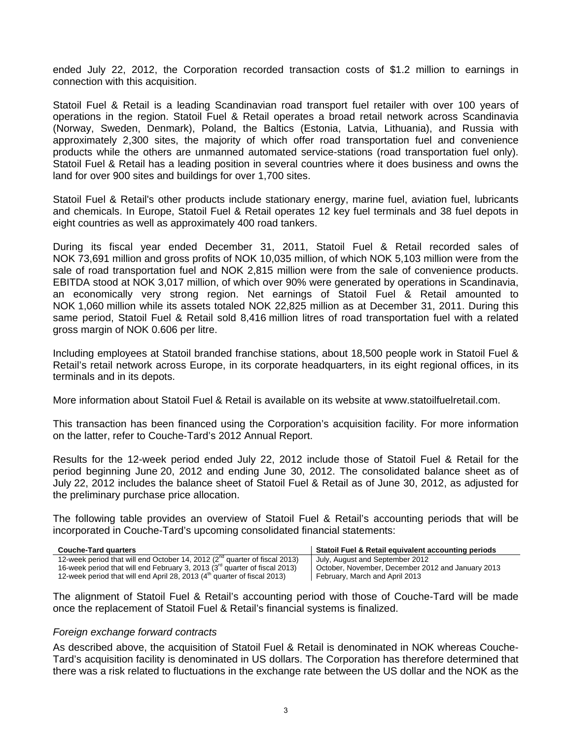ended July 22, 2012, the Corporation recorded transaction costs of \$1.2 million to earnings in connection with this acquisition.

Statoil Fuel & Retail is a leading Scandinavian road transport fuel retailer with over 100 years of operations in the region. Statoil Fuel & Retail operates a broad retail network across Scandinavia (Norway, Sweden, Denmark), Poland, the Baltics (Estonia, Latvia, Lithuania), and Russia with approximately 2,300 sites, the majority of which offer road transportation fuel and convenience products while the others are unmanned automated service-stations (road transportation fuel only). Statoil Fuel & Retail has a leading position in several countries where it does business and owns the land for over 900 sites and buildings for over 1,700 sites.

Statoil Fuel & Retail's other products include stationary energy, marine fuel, aviation fuel, lubricants and chemicals. In Europe, Statoil Fuel & Retail operates 12 key fuel terminals and 38 fuel depots in eight countries as well as approximately 400 road tankers.

During its fiscal year ended December 31, 2011, Statoil Fuel & Retail recorded sales of NOK 73,691 million and gross profits of NOK 10,035 million, of which NOK 5,103 million were from the sale of road transportation fuel and NOK 2,815 million were from the sale of convenience products. EBITDA stood at NOK 3,017 million, of which over 90% were generated by operations in Scandinavia, an economically very strong region. Net earnings of Statoil Fuel & Retail amounted to NOK 1,060 million while its assets totaled NOK 22,825 million as at December 31, 2011. During this same period, Statoil Fuel & Retail sold 8,416 million litres of road transportation fuel with a related gross margin of NOK 0.606 per litre.

Including employees at Statoil branded franchise stations, about 18,500 people work in Statoil Fuel & Retail's retail network across Europe, in its corporate headquarters, in its eight regional offices, in its terminals and in its depots.

More information about Statoil Fuel & Retail is available on its website at www.statoilfuelretail.com.

This transaction has been financed using the Corporation's acquisition facility. For more information on the latter, refer to Couche-Tard's 2012 Annual Report.

Results for the 12-week period ended July 22, 2012 include those of Statoil Fuel & Retail for the period beginning June 20, 2012 and ending June 30, 2012. The consolidated balance sheet as of July 22, 2012 includes the balance sheet of Statoil Fuel & Retail as of June 30, 2012, as adjusted for the preliminary purchase price allocation.

The following table provides an overview of Statoil Fuel & Retail's accounting periods that will be incorporated in Couche-Tard's upcoming consolidated financial statements:

| <b>Couche-Tard quarters</b>                                                                                                                                                      | Statoil Fuel & Retail equivalent accounting periods                                  |
|----------------------------------------------------------------------------------------------------------------------------------------------------------------------------------|--------------------------------------------------------------------------------------|
| 12-week period that will end October 14, 2012 (2 <sup>nd</sup> quarter of fiscal 2013)<br>16-week period that will end February 3, 2013 (3 <sup>rd</sup> quarter of fiscal 2013) | July, August and September 2012<br>October, November, December 2012 and January 2013 |
| 12-week period that will end April 28, 2013 $(4th$ quarter of fiscal 2013)                                                                                                       | February, March and April 2013                                                       |

The alignment of Statoil Fuel & Retail's accounting period with those of Couche-Tard will be made once the replacement of Statoil Fuel & Retail's financial systems is finalized.

### *Foreign exchange forward contracts*

As described above, the acquisition of Statoil Fuel & Retail is denominated in NOK whereas Couche-Tard's acquisition facility is denominated in US dollars. The Corporation has therefore determined that there was a risk related to fluctuations in the exchange rate between the US dollar and the NOK as the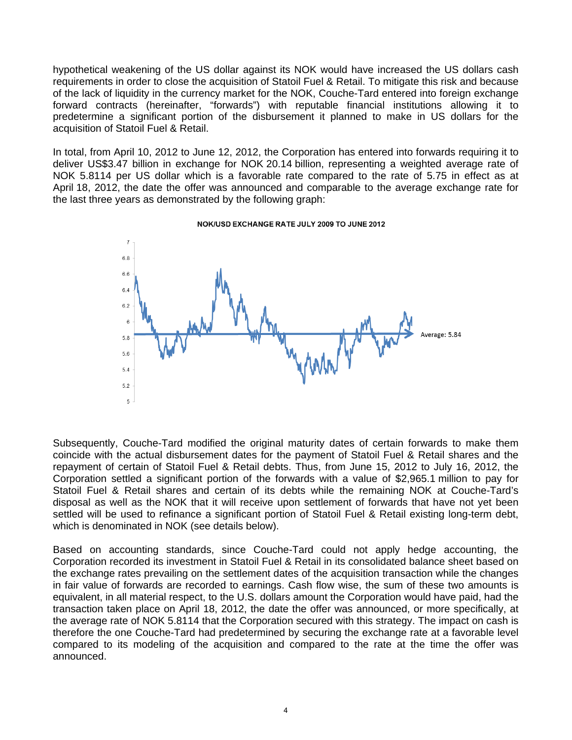hypothetical weakening of the US dollar against its NOK would have increased the US dollars cash requirements in order to close the acquisition of Statoil Fuel & Retail. To mitigate this risk and because of the lack of liquidity in the currency market for the NOK, Couche-Tard entered into foreign exchange forward contracts (hereinafter, "forwards") with reputable financial institutions allowing it to predetermine a significant portion of the disbursement it planned to make in US dollars for the acquisition of Statoil Fuel & Retail.

In total, from April 10, 2012 to June 12, 2012, the Corporation has entered into forwards requiring it to deliver US\$3.47 billion in exchange for NOK 20.14 billion, representing a weighted average rate of NOK 5.8114 per US dollar which is a favorable rate compared to the rate of 5.75 in effect as at April 18, 2012, the date the offer was announced and comparable to the average exchange rate for the last three years as demonstrated by the following graph:

# $\overline{7}$ 68  $6.6$ 64  $6.2$  $6\phantom{a}$ Average: 5.84  $5.8$ 5.6  $5.4$ 5.2  $\overline{5}$

#### NOK/USD EXCHANGE RATE JULY 2009 TO JUNE 2012

Subsequently, Couche-Tard modified the original maturity dates of certain forwards to make them coincide with the actual disbursement dates for the payment of Statoil Fuel & Retail shares and the repayment of certain of Statoil Fuel & Retail debts. Thus, from June 15, 2012 to July 16, 2012, the Corporation settled a significant portion of the forwards with a value of \$2,965.1 million to pay for Statoil Fuel & Retail shares and certain of its debts while the remaining NOK at Couche-Tard's disposal as well as the NOK that it will receive upon settlement of forwards that have not yet been settled will be used to refinance a significant portion of Statoil Fuel & Retail existing long-term debt, which is denominated in NOK (see details below).

Based on accounting standards, since Couche-Tard could not apply hedge accounting, the Corporation recorded its investment in Statoil Fuel & Retail in its consolidated balance sheet based on the exchange rates prevailing on the settlement dates of the acquisition transaction while the changes in fair value of forwards are recorded to earnings. Cash flow wise, the sum of these two amounts is equivalent, in all material respect, to the U.S. dollars amount the Corporation would have paid, had the transaction taken place on April 18, 2012, the date the offer was announced, or more specifically, at the average rate of NOK 5.8114 that the Corporation secured with this strategy. The impact on cash is therefore the one Couche-Tard had predetermined by securing the exchange rate at a favorable level compared to its modeling of the acquisition and compared to the rate at the time the offer was announced.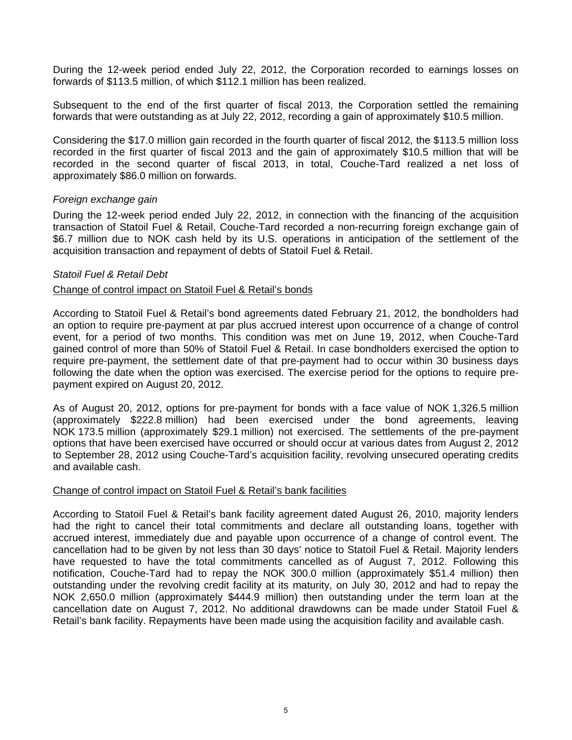During the 12-week period ended July 22, 2012, the Corporation recorded to earnings losses on forwards of \$113.5 million, of which \$112.1 million has been realized.

Subsequent to the end of the first quarter of fiscal 2013, the Corporation settled the remaining forwards that were outstanding as at July 22, 2012, recording a gain of approximately \$10.5 million.

Considering the \$17.0 million gain recorded in the fourth quarter of fiscal 2012, the \$113.5 million loss recorded in the first quarter of fiscal 2013 and the gain of approximately \$10.5 million that will be recorded in the second quarter of fiscal 2013, in total, Couche-Tard realized a net loss of approximately \$86.0 million on forwards.

## *Foreign exchange gain*

During the 12-week period ended July 22, 2012, in connection with the financing of the acquisition transaction of Statoil Fuel & Retail, Couche-Tard recorded a non-recurring foreign exchange gain of \$6.7 million due to NOK cash held by its U.S. operations in anticipation of the settlement of the acquisition transaction and repayment of debts of Statoil Fuel & Retail.

## *Statoil Fuel & Retail Debt*

## Change of control impact on Statoil Fuel & Retail's bonds

According to Statoil Fuel & Retail's bond agreements dated February 21, 2012, the bondholders had an option to require pre-payment at par plus accrued interest upon occurrence of a change of control event, for a period of two months. This condition was met on June 19, 2012, when Couche-Tard gained control of more than 50% of Statoil Fuel & Retail. In case bondholders exercised the option to require pre-payment, the settlement date of that pre-payment had to occur within 30 business days following the date when the option was exercised. The exercise period for the options to require prepayment expired on August 20, 2012.

As of August 20, 2012, options for pre-payment for bonds with a face value of NOK 1,326.5 million (approximately \$222.8 million) had been exercised under the bond agreements, leaving NOK 173.5 million (approximately \$29.1 million) not exercised. The settlements of the pre-payment options that have been exercised have occurred or should occur at various dates from August 2, 2012 to September 28, 2012 using Couche-Tard's acquisition facility, revolving unsecured operating credits and available cash.

## Change of control impact on Statoil Fuel & Retail's bank facilities

According to Statoil Fuel & Retail's bank facility agreement dated August 26, 2010, majority lenders had the right to cancel their total commitments and declare all outstanding loans, together with accrued interest, immediately due and payable upon occurrence of a change of control event. The cancellation had to be given by not less than 30 days' notice to Statoil Fuel & Retail. Majority lenders have requested to have the total commitments cancelled as of August 7, 2012. Following this notification, Couche-Tard had to repay the NOK 300.0 million (approximately \$51.4 million) then outstanding under the revolving credit facility at its maturity, on July 30, 2012 and had to repay the NOK 2,650.0 million (approximately \$444.9 million) then outstanding under the term loan at the cancellation date on August 7, 2012. No additional drawdowns can be made under Statoil Fuel & Retail's bank facility. Repayments have been made using the acquisition facility and available cash.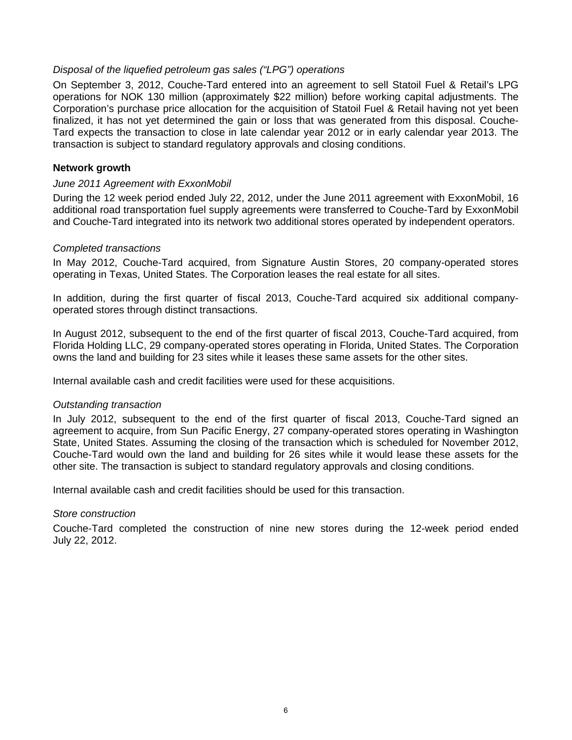## *Disposal of the liquefied petroleum gas sales ("LPG") operations*

On September 3, 2012, Couche-Tard entered into an agreement to sell Statoil Fuel & Retail's LPG operations for NOK 130 million (approximately \$22 million) before working capital adjustments. The Corporation's purchase price allocation for the acquisition of Statoil Fuel & Retail having not yet been finalized, it has not yet determined the gain or loss that was generated from this disposal. Couche-Tard expects the transaction to close in late calendar year 2012 or in early calendar year 2013. The transaction is subject to standard regulatory approvals and closing conditions.

## **Network growth**

## *June 2011 Agreement with ExxonMobil*

During the 12 week period ended July 22, 2012, under the June 2011 agreement with ExxonMobil, 16 additional road transportation fuel supply agreements were transferred to Couche-Tard by ExxonMobil and Couche-Tard integrated into its network two additional stores operated by independent operators.

## *Completed transactions*

In May 2012, Couche-Tard acquired, from Signature Austin Stores, 20 company-operated stores operating in Texas, United States. The Corporation leases the real estate for all sites.

In addition, during the first quarter of fiscal 2013, Couche-Tard acquired six additional companyoperated stores through distinct transactions.

In August 2012, subsequent to the end of the first quarter of fiscal 2013, Couche-Tard acquired, from Florida Holding LLC, 29 company-operated stores operating in Florida, United States. The Corporation owns the land and building for 23 sites while it leases these same assets for the other sites.

Internal available cash and credit facilities were used for these acquisitions.

## *Outstanding transaction*

In July 2012, subsequent to the end of the first quarter of fiscal 2013, Couche-Tard signed an agreement to acquire, from Sun Pacific Energy, 27 company-operated stores operating in Washington State, United States. Assuming the closing of the transaction which is scheduled for November 2012, Couche-Tard would own the land and building for 26 sites while it would lease these assets for the other site. The transaction is subject to standard regulatory approvals and closing conditions.

Internal available cash and credit facilities should be used for this transaction.

## *Store construction*

Couche-Tard completed the construction of nine new stores during the 12-week period ended July 22, 2012.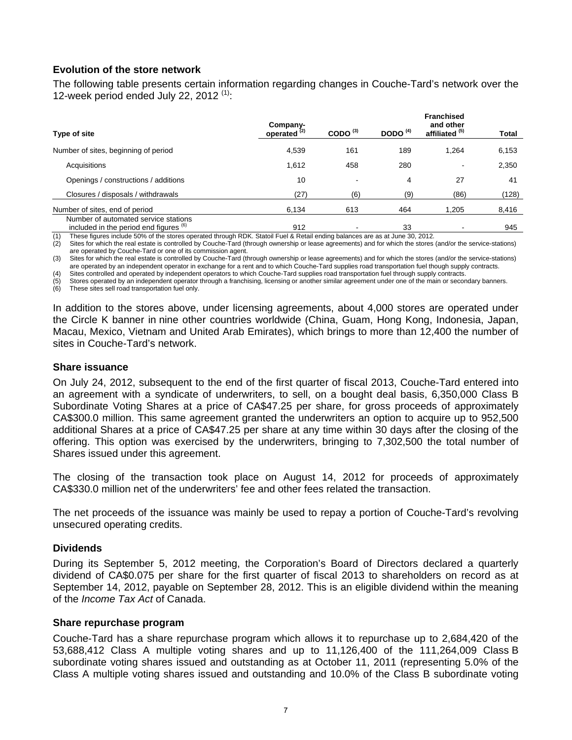## **Evolution of the store network**

The following table presents certain information regarding changes in Couche-Tard's network over the 12-week period ended July 22, 2012 $(1)$ :

| Type of site                                                                   | Company-<br>operated <sup>(2)</sup> | CODO <sup>(3)</sup>      | DODO <sup>(4)</sup> | <b>Franchised</b><br>and other<br>affiliated <sup>(5)</sup> | <b>Total</b> |
|--------------------------------------------------------------------------------|-------------------------------------|--------------------------|---------------------|-------------------------------------------------------------|--------------|
| Number of sites, beginning of period                                           | 4.539                               | 161                      | 189                 | 1.264                                                       | 6,153        |
| Acquisitions                                                                   | 1.612                               | 458                      | 280                 |                                                             | 2,350        |
| Openings / constructions / additions                                           | 10                                  | $\overline{\phantom{a}}$ | 4                   | 27                                                          | 41           |
| Closures / disposals / withdrawals                                             | (27)                                | (6)                      | (9)                 | (86)                                                        | (128)        |
| Number of sites, end of period                                                 | 6,134                               | 613                      | 464                 | 1.205                                                       | 8,416        |
| Number of automated service stations<br>included in the period end figures (6) | 912                                 |                          | 33                  |                                                             | 945          |

(1) These figures include 50% of the stores operated through RDK. Statoil Fuel & Retail ending balances are as at June 30, 2012.

(2) Sites for which the real estate is controlled by Couche-Tard (through ownership or lease agreements) and for which the stores (and/or the service-stations) are operated by Couche-Tard or one of its commission agent.

(3) Sites for which the real estate is controlled by Couche-Tard (through ownership or lease agreements) and for which the stores (and/or the service-stations) are operated by an independent operator in exchange for a rent and to which Couche-Tard supplies road transportation fuel though supply contracts.

(4) Sites controlled and operated by independent operators to which Couche-Tard supplies road transportation fuel through supply contracts.

Stores operated by an independent operator through a franchising, licensing or another similar agreement under one of the main or secondary banners. (6) These sites sell road transportation fuel only.

In addition to the stores above, under licensing agreements, about 4,000 stores are operated under the Circle K banner in nine other countries worldwide (China, Guam, Hong Kong, Indonesia, Japan, Macau, Mexico, Vietnam and United Arab Emirates), which brings to more than 12,400 the number of sites in Couche-Tard's network.

### **Share issuance**

On July 24, 2012, subsequent to the end of the first quarter of fiscal 2013, Couche-Tard entered into an agreement with a syndicate of underwriters, to sell, on a bought deal basis, 6,350,000 Class B Subordinate Voting Shares at a price of CA\$47.25 per share, for gross proceeds of approximately CA\$300.0 million. This same agreement granted the underwriters an option to acquire up to 952,500 additional Shares at a price of CA\$47.25 per share at any time within 30 days after the closing of the offering. This option was exercised by the underwriters, bringing to 7,302,500 the total number of Shares issued under this agreement.

The closing of the transaction took place on August 14, 2012 for proceeds of approximately CA\$330.0 million net of the underwriters' fee and other fees related the transaction.

The net proceeds of the issuance was mainly be used to repay a portion of Couche-Tard's revolving unsecured operating credits.

## **Dividends**

During its September 5, 2012 meeting, the Corporation's Board of Directors declared a quarterly dividend of CA\$0.075 per share for the first quarter of fiscal 2013 to shareholders on record as at September 14, 2012, payable on September 28, 2012. This is an eligible dividend within the meaning of the *Income Tax Act* of Canada.

### **Share repurchase program**

Couche-Tard has a share repurchase program which allows it to repurchase up to 2,684,420 of the 53,688,412 Class A multiple voting shares and up to 11,126,400 of the 111,264,009 Class B subordinate voting shares issued and outstanding as at October 11, 2011 (representing 5.0% of the Class A multiple voting shares issued and outstanding and 10.0% of the Class B subordinate voting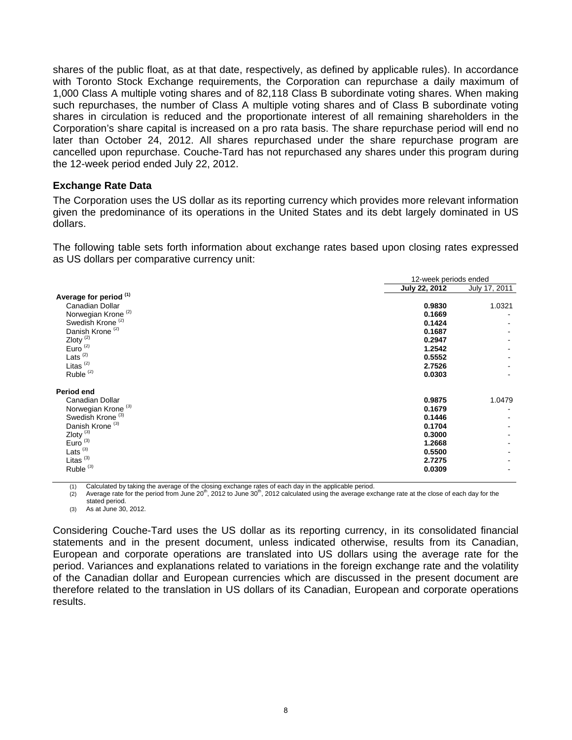shares of the public float, as at that date, respectively, as defined by applicable rules). In accordance with Toronto Stock Exchange requirements, the Corporation can repurchase a daily maximum of 1,000 Class A multiple voting shares and of 82,118 Class B subordinate voting shares. When making such repurchases, the number of Class A multiple voting shares and of Class B subordinate voting shares in circulation is reduced and the proportionate interest of all remaining shareholders in the Corporation's share capital is increased on a pro rata basis. The share repurchase period will end no later than October 24, 2012. All shares repurchased under the share repurchase program are cancelled upon repurchase. Couche-Tard has not repurchased any shares under this program during the 12-week period ended July 22, 2012.

## **Exchange Rate Data**

The Corporation uses the US dollar as its reporting currency which provides more relevant information given the predominance of its operations in the United States and its debt largely dominated in US dollars.

The following table sets forth information about exchange rates based upon closing rates expressed as US dollars per comparative currency unit:

|                                   | 12-week periods ended |               |
|-----------------------------------|-----------------------|---------------|
|                                   | July 22, 2012         | July 17, 2011 |
| Average for period <sup>(1)</sup> |                       |               |
| Canadian Dollar                   | 0.9830                | 1.0321        |
| Norwegian Krone <sup>(2)</sup>    | 0.1669                |               |
| Swedish Krone <sup>(2)</sup>      | 0.1424                |               |
| Danish Krone <sup>(2)</sup>       | 0.1687                |               |
| Zloty $(2)$                       | 0.2947                |               |
| Euro $(2)$                        | 1.2542                |               |
| Lats $(2)$                        | 0.5552                |               |
| Litas $^{(2)}$                    | 2.7526                |               |
| Ruble <sup>(2)</sup>              | 0.0303                |               |
| <b>Period end</b>                 |                       |               |
| Canadian Dollar                   | 0.9875                | 1.0479        |
| Norwegian Krone <sup>(3)</sup>    | 0.1679                |               |
| Swedish Krone <sup>(3)</sup>      | 0.1446                |               |
| Danish Krone <sup>(3)</sup>       | 0.1704                |               |
| Zloty $^{(3)}$                    | 0.3000                |               |
| Euro <sup>(3)</sup>               | 1.2668                |               |
| Lats $(3)$                        | 0.5500                |               |
| Litas $^{(3)}$                    | 2.7275                |               |
| Ruble <sup>(3)</sup>              | 0.0309                |               |

(1) Calculated by taking the average of the closing exchange rates of each day in the applicable period.

(2) Average rate for the period from June 20<sup>th</sup>, 2012 to June 30<sup>th</sup>, 2012 calculated using the average exchange rate at the close of each day for the stated period.

(3) As at June 30, 2012.

Considering Couche-Tard uses the US dollar as its reporting currency, in its consolidated financial statements and in the present document, unless indicated otherwise, results from its Canadian, European and corporate operations are translated into US dollars using the average rate for the period. Variances and explanations related to variations in the foreign exchange rate and the volatility of the Canadian dollar and European currencies which are discussed in the present document are therefore related to the translation in US dollars of its Canadian, European and corporate operations results.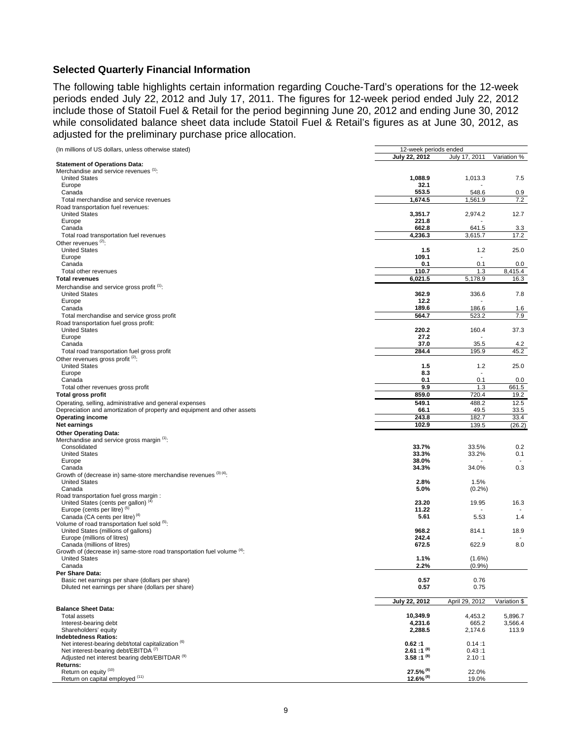## **Selected Quarterly Financial Information**

The following table highlights certain information regarding Couche-Tard's operations for the 12-week periods ended July 22, 2012 and July 17, 2011. The figures for 12-week period ended July 22, 2012 include those of Statoil Fuel & Retail for the period beginning June 20, 2012 and ending June 30, 2012 while consolidated balance sheet data include Statoil Fuel & Retail's figures as at June 30, 2012, as adjusted for the preliminary purchase price allocation.

| (In millions of US dollars, unless otherwise stated)                              | 12-week periods ended   |                |                                 |  |
|-----------------------------------------------------------------------------------|-------------------------|----------------|---------------------------------|--|
|                                                                                   | July 22, 2012           | July 17, 2011  | Variation %                     |  |
| <b>Statement of Operations Data:</b>                                              |                         |                |                                 |  |
| Merchandise and service revenues (1):                                             |                         |                |                                 |  |
| <b>United States</b>                                                              | 1,088.9                 | 1,013.3        | 7.5                             |  |
| Europe                                                                            | 32.1                    |                |                                 |  |
| Canada                                                                            | 553.5                   | 548.6          | 0.9                             |  |
| Total merchandise and service revenues                                            | 1,674.5                 | 1,561.9        | 7.2                             |  |
| Road transportation fuel revenues:                                                |                         |                |                                 |  |
| <b>United States</b>                                                              | 3,351.7                 | 2,974.2        | 12.7                            |  |
| Europe                                                                            | 221.8                   |                |                                 |  |
| Canada                                                                            | 662.8                   | 641.5          | 3.3                             |  |
| Total road transportation fuel revenues                                           | 4,236.3                 | 3,615.7        | 17.2                            |  |
| Other revenues <sup>(2)</sup> :                                                   |                         |                |                                 |  |
| <b>United States</b>                                                              | 1.5                     | 1.2            | 25.0                            |  |
| Europe                                                                            | 109.1                   |                |                                 |  |
| Canada                                                                            | 0.1                     | 0.1            | 0.0                             |  |
| Total other revenues                                                              | 110.7                   | 1.3            | 8,415.4                         |  |
| <b>Total revenues</b>                                                             | 6.021.5                 | 5,178.9        | 16.3                            |  |
| Merchandise and service gross profit (1):                                         |                         |                |                                 |  |
| <b>United States</b>                                                              | 362.9                   | 336.6          | 7.8                             |  |
| Europe                                                                            | 12.2                    |                |                                 |  |
| Canada                                                                            | 189.6                   | 186.6          | 1.6                             |  |
| Total merchandise and service gross profit                                        | 564.7                   | 523.2          | 7.9                             |  |
| Road transportation fuel gross profit:                                            |                         |                |                                 |  |
| <b>United States</b>                                                              | 220.2                   | 160.4          | 37.3                            |  |
| Europe                                                                            | 27.2                    |                |                                 |  |
| Canada                                                                            | 37.0                    | 35.5           | 4.2                             |  |
| Total road transportation fuel gross profit                                       | 284.4                   | 195.9          | 45.2                            |  |
| Other revenues gross profit (2):                                                  |                         |                |                                 |  |
| <b>United States</b>                                                              | 1.5                     | 1.2            | 25.0                            |  |
| Europe                                                                            | 8.3<br>0.1              |                |                                 |  |
| Canada                                                                            |                         | 0.1            | 0.0                             |  |
| Total other revenues gross profit                                                 | 9.9                     | 1.3            | 661.5                           |  |
| <b>Total gross profit</b>                                                         | 859.0                   | 720.4          | 19.2                            |  |
| Operating, selling, administrative and general expenses                           | 549.1                   | 488.2          | 12.5                            |  |
| Depreciation and amortization of property and equipment and other assets          | 66.1                    | 49.5           | 33.5                            |  |
| <b>Operating income</b>                                                           | 243.8                   | 182.7          | 33.4                            |  |
| Net earnings                                                                      | 102.9                   | 139.5          | (26.2)                          |  |
| <b>Other Operating Data:</b>                                                      |                         |                |                                 |  |
| Merchandise and service gross margin (1):                                         |                         |                |                                 |  |
| Consolidated                                                                      | 33.7%                   | 33.5%          | 0.2                             |  |
| <b>United States</b>                                                              | 33.3%                   | 33.2%          | 0.1<br>$\overline{\phantom{a}}$ |  |
| Europe                                                                            | 38.0%<br>34.3%          | 34.0%          | 0.3                             |  |
| Canada<br>Growth of (decrease in) same-store merchandise revenues (3) (4).        |                         |                |                                 |  |
| <b>United States</b>                                                              | 2.8%                    | 1.5%           |                                 |  |
| Canada                                                                            | 5.0%                    | (0.2%          |                                 |  |
| Road transportation fuel gross margin :                                           |                         |                |                                 |  |
| United States (cents per gallon) <sup>(4)</sup>                                   | 23.20                   | 19.95          | 16.3                            |  |
| Europe (cents per litre) <sup>(5)</sup>                                           | 11.22                   |                |                                 |  |
| Canada (CA cents per litre) <sup>(4)</sup>                                        | 5.61                    | 5.53           | 1.4                             |  |
| Volume of road transportation fuel sold (5):                                      |                         |                |                                 |  |
| United States (millions of gallons)                                               | 968.2                   | 814.1          | 18.9                            |  |
| Europe (millions of litres)                                                       | 242.4                   |                |                                 |  |
| Canada (millions of litres)                                                       | 672.5                   | 622.9          | 8.0                             |  |
| Growth of (decrease in) same-store road transportation fuel volume (4):           |                         |                |                                 |  |
| <b>United States</b>                                                              | 1.1%                    | $(1.6\%)$      |                                 |  |
| Canada                                                                            | 2.2%                    | (0.9%          |                                 |  |
| Per Share Data:                                                                   |                         |                |                                 |  |
| Basic net earnings per share (dollars per share)                                  | 0.57                    | 0.76           |                                 |  |
| Diluted net earnings per share (dollars per share)                                | 0.57                    | 0.75           |                                 |  |
|                                                                                   |                         |                |                                 |  |
|                                                                                   | July 22, 2012           | April 29, 2012 | Variation \$                    |  |
| <b>Balance Sheet Data:</b>                                                        |                         |                |                                 |  |
| <b>Total assets</b>                                                               | 10,349.9                | 4,453.2        | 5,896.7                         |  |
| Interest-bearing debt                                                             | 4,231.6                 | 665.2          | 3,566.4                         |  |
| Shareholders' equity                                                              | 2,288.5                 | 2,174.6        | 113.9                           |  |
| <b>Indebtedness Ratios:</b><br>Net interest-bearing debt/total capitalization (6) | 0.62:1                  | 0.14:1         |                                 |  |
| Net interest-bearing debt/EBITDA <sup>(7)</sup>                                   | $2.61:1^{(8)}$          | 0.43:1         |                                 |  |
| Adjusted net interest bearing debt/EBITDAR <sup>(9)</sup>                         | $3.58:1^{(8)}$          | 2.10:1         |                                 |  |
| Returns:                                                                          |                         |                |                                 |  |
| Return on equity (10)                                                             | $27.5\%$ <sup>(8)</sup> | 22.0%          |                                 |  |
| Return on capital employed (11)                                                   | $12.6\%$ <sup>(8)</sup> | 19.0%          |                                 |  |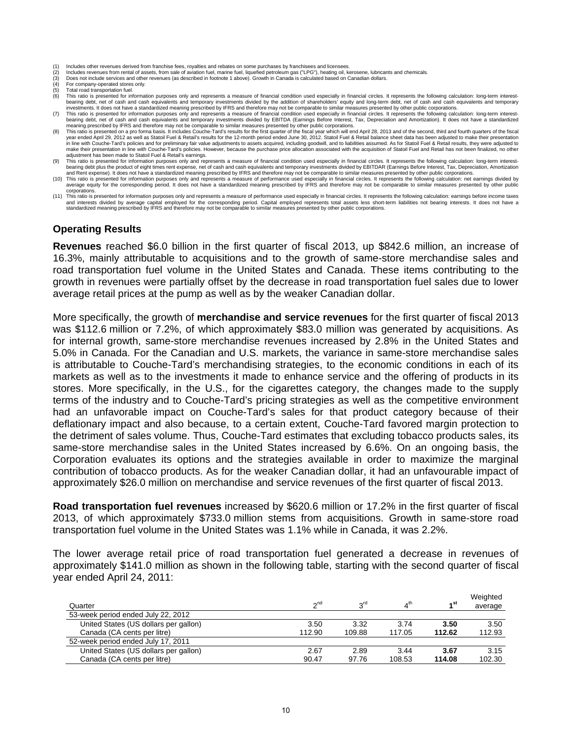- (1) Includes other revenues derived from franchise fees, royalties and rebates on some purchases by franchisees and licensees.<br>(2) Includes revenues from rental of assets, from sale of aviation fuel, marine fuel, liquefied
- (2) Includes revenues from rental of assets, from sale of aviation fuel, marine fuel, liquefied petroleum gas ("LPG"), heating oil, kerosene, lubricants and chemicals<br>(3) Does not include services and other revenues (as de
- (3) Does not include services and other revenues (as described in footnote 1 above). Growth in Canada is calculated based on Canadian dollars.
- (4) For company-operated stores only.<br>(5) Total road transportation fuel. Total road transportation fuel.
- (6) This ratio is presented for information purposes only and represents a measure of financial condition used especially in financial circles. It represents the following calculation: long-term interestbearing debt, net of cash and cash equivalents and temporary investments divided by the addition of shareholders' equity and long-term debt, net of cash and cash equivalents and temporary
- investments. It does not have a standardized meaning prescribed by IFRS and therefore may not be comparable to similar measures presented by other public corporations.<br>(7) This ratio is presented for information purposes o bearing debt, net of cash and cash equivalents and temporary investments divided by EBITDA (Earnings Before Interest, Tax, Depreciation and Amortization). It does not have a standardized
- meaning prescribed by IFRS and therefore may not be comparable to similar measures presented by other public corporations.<br>(8) This ratio is presented on a pro forma basis. It includes Couche-Tard's results for the first q year ended April 29, 2012 as well as Statoil Fuel & Retail's results for the 12-month period ended June 30, 2012. Statoil Fuel & Retail balance sheet data has been adjusted to make their presentation<br>in line with Couche-Ta make their presentation in line with Couche-Tard's policies. However, because the purchase price allocation associated with the acquisition of Statoil Fuel and Retail has not been finalized, no other<br>adjustment has been ma
- adjustment has been made to Statoil Fuel & Retail's earnings.<br>(9) This ratio is presented for information purposes only and represents a measure of financial condition used especially in financial circles. It represents th bearing debt plus the product of eight times rent expense, net of cash and cash equivalents and temporary investments divided by EBITDAR (Earnings Before Interest, Tax, Depreciation, Amortization<br>and Rent expense). It does
- 10) This ratio is presented for information purposes only and represents a measure of performance used especially in financial circles. It represents the following calculation: net earnings divided by exerage equity for th corporations.
- (11) This ratio is presented for information purposes only and represents a measure of performance used especially in financial circles. It represents the following calculation: earnings before income taxes and interests d and interests divided by average capital employed for the corresponding period. Capital employed represents total assets less short-term liabilities not bearing interests. It does not have a standardized meaning prescribed by IFRS and therefore may not be comparable to similar measures presented by other public corporations.

### **Operating Results**

**Revenues** reached \$6.0 billion in the first quarter of fiscal 2013, up \$842.6 million, an increase of 16.3%, mainly attributable to acquisitions and to the growth of same-store merchandise sales and road transportation fuel volume in the United States and Canada. These items contributing to the growth in revenues were partially offset by the decrease in road transportation fuel sales due to lower average retail prices at the pump as well as by the weaker Canadian dollar.

More specifically, the growth of **merchandise and service revenues** for the first quarter of fiscal 2013 was \$112.6 million or 7.2%, of which approximately \$83.0 million was generated by acquisitions. As for internal growth, same-store merchandise revenues increased by 2.8% in the United States and 5.0% in Canada. For the Canadian and U.S. markets, the variance in same-store merchandise sales is attributable to Couche-Tard's merchandising strategies, to the economic conditions in each of its markets as well as to the investments it made to enhance service and the offering of products in its stores. More specifically, in the U.S., for the cigarettes category, the changes made to the supply terms of the industry and to Couche-Tard's pricing strategies as well as the competitive environment had an unfavorable impact on Couche-Tard's sales for that product category because of their deflationary impact and also because, to a certain extent, Couche-Tard favored margin protection to the detriment of sales volume. Thus, Couche-Tard estimates that excluding tobacco products sales, its same-store merchandise sales in the United States increased by 6.6%. On an ongoing basis, the Corporation evaluates its options and the strategies available in order to maximize the marginal contribution of tobacco products. As for the weaker Canadian dollar, it had an unfavourable impact of approximately \$26.0 million on merchandise and service revenues of the first quarter of fiscal 2013.

**Road transportation fuel revenues** increased by \$620.6 million or 17.2% in the first quarter of fiscal 2013, of which approximately \$733.0 million stems from acquisitions. Growth in same-store road transportation fuel volume in the United States was 1.1% while in Canada, it was 2.2%.

The lower average retail price of road transportation fuel generated a decrease in revenues of approximately \$141.0 million as shown in the following table, starting with the second quarter of fiscal year ended April 24, 2011:

| Quarter                               | <sub>י</sub> ה | rdی    | 4 <sup>th</sup> | 4 St   | Weighted<br>average |
|---------------------------------------|----------------|--------|-----------------|--------|---------------------|
| 53-week period ended July 22, 2012    |                |        |                 |        |                     |
| United States (US dollars per gallon) | 3.50           | 3.32   | 3.74            | 3.50   | 3.50                |
| Canada (CA cents per litre)           | 112.90         | 109.88 | 117.05          | 112.62 | 112.93              |
| 52-week period ended July 17, 2011    |                |        |                 |        |                     |
| United States (US dollars per gallon) | 2.67           | 2.89   | 3.44            | 3.67   | 3.15                |
| Canada (CA cents per litre)           | 90.47          | 97.76  | 108.53          | 114.08 | 102.30              |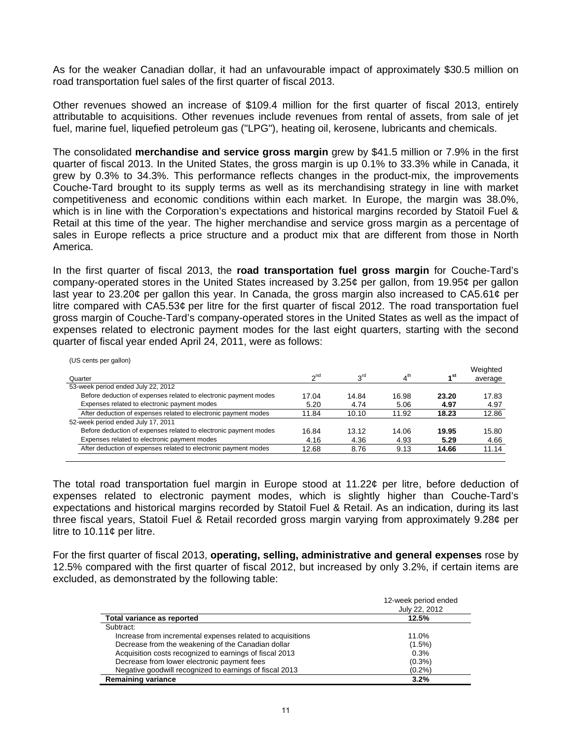As for the weaker Canadian dollar, it had an unfavourable impact of approximately \$30.5 million on road transportation fuel sales of the first quarter of fiscal 2013.

Other revenues showed an increase of \$109.4 million for the first quarter of fiscal 2013, entirely attributable to acquisitions. Other revenues include revenues from rental of assets, from sale of jet fuel, marine fuel, liquefied petroleum gas ("LPG"), heating oil, kerosene, lubricants and chemicals.

The consolidated **merchandise and service gross margin** grew by \$41.5 million or 7.9% in the first quarter of fiscal 2013. In the United States, the gross margin is up 0.1% to 33.3% while in Canada, it grew by 0.3% to 34.3%. This performance reflects changes in the product-mix, the improvements Couche-Tard brought to its supply terms as well as its merchandising strategy in line with market competitiveness and economic conditions within each market. In Europe, the margin was 38.0%, which is in line with the Corporation's expectations and historical margins recorded by Statoil Fuel & Retail at this time of the year. The higher merchandise and service gross margin as a percentage of sales in Europe reflects a price structure and a product mix that are different from those in North America.

In the first quarter of fiscal 2013, the **road transportation fuel gross margin** for Couche-Tard's company-operated stores in the United States increased by 3.25¢ per gallon, from 19.95¢ per gallon last year to 23.20¢ per gallon this year. In Canada, the gross margin also increased to CA5.61¢ per litre compared with CA5.53¢ per litre for the first quarter of fiscal 2012. The road transportation fuel gross margin of Couche-Tard's company-operated stores in the United States as well as the impact of expenses related to electronic payment modes for the last eight quarters, starting with the second quarter of fiscal year ended April 24, 2011, were as follows:

| Quarter                                                          | 2 <sup>nd</sup> | 3 <sup>rd</sup> | $4^{\text{th}}$ | 4 st  | Weighted<br>average |
|------------------------------------------------------------------|-----------------|-----------------|-----------------|-------|---------------------|
| 53-week period ended July 22, 2012                               |                 |                 |                 |       |                     |
| Before deduction of expenses related to electronic payment modes | 17.04           | 14.84           | 16.98           | 23.20 | 17.83               |
| Expenses related to electronic payment modes                     | 5.20            | 4.74            | 5.06            | 4.97  | 4.97                |
| After deduction of expenses related to electronic payment modes  | 11.84           | 10.10           | 11.92           | 18.23 | 12.86               |
| 52-week period ended July 17, 2011                               |                 |                 |                 |       |                     |
| Before deduction of expenses related to electronic payment modes | 16.84           | 13.12           | 14.06           | 19.95 | 15.80               |
| Expenses related to electronic payment modes                     | 4.16            | 4.36            | 4.93            | 5.29  | 4.66                |
| After deduction of expenses related to electronic payment modes  | 12.68           | 8.76            | 9.13            | 14.66 | 11.14               |

The total road transportation fuel margin in Europe stood at  $11.22¢$  per litre, before deduction of expenses related to electronic payment modes, which is slightly higher than Couche-Tard's expectations and historical margins recorded by Statoil Fuel & Retail. As an indication, during its last three fiscal years, Statoil Fuel & Retail recorded gross margin varying from approximately 9.28¢ per litre to 10.11¢ per litre.

For the first quarter of fiscal 2013, **operating, selling, administrative and general expenses** rose by 12.5% compared with the first quarter of fiscal 2012, but increased by only 3.2%, if certain items are excluded, as demonstrated by the following table:

|                                                            | 12-week period ended<br>July 22, 2012 |
|------------------------------------------------------------|---------------------------------------|
| Total variance as reported                                 | 12.5%                                 |
| Subtract:                                                  |                                       |
| Increase from incremental expenses related to acquisitions | 11.0%                                 |
| Decrease from the weakening of the Canadian dollar         | $(1.5\%)$                             |
| Acquisition costs recognized to earnings of fiscal 2013    | 0.3%                                  |
| Decrease from lower electronic payment fees                | $(0.3\%)$                             |
| Negative goodwill recognized to earnings of fiscal 2013    | (0.2%                                 |
| <b>Remaining variance</b>                                  | 3.2%                                  |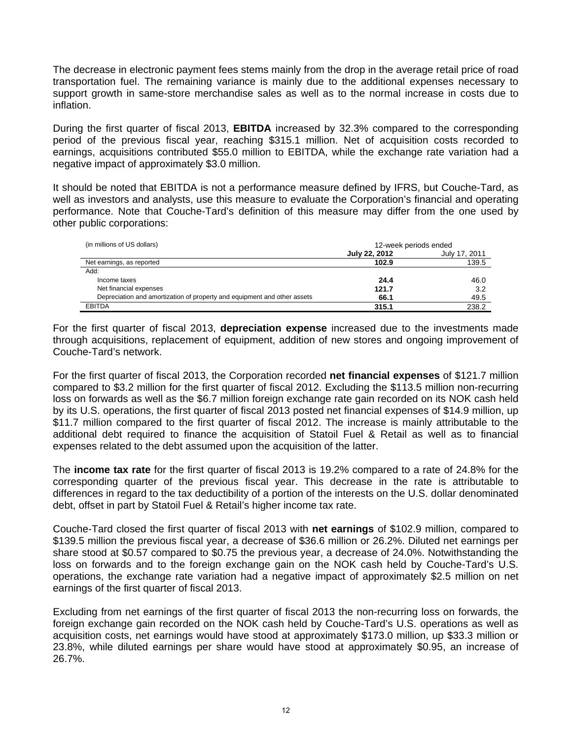The decrease in electronic payment fees stems mainly from the drop in the average retail price of road transportation fuel. The remaining variance is mainly due to the additional expenses necessary to support growth in same-store merchandise sales as well as to the normal increase in costs due to inflation.

During the first quarter of fiscal 2013, **EBITDA** increased by 32.3% compared to the corresponding period of the previous fiscal year, reaching \$315.1 million. Net of acquisition costs recorded to earnings, acquisitions contributed \$55.0 million to EBITDA, while the exchange rate variation had a negative impact of approximately \$3.0 million.

It should be noted that EBITDA is not a performance measure defined by IFRS, but Couche-Tard, as well as investors and analysts, use this measure to evaluate the Corporation's financial and operating performance. Note that Couche-Tard's definition of this measure may differ from the one used by other public corporations:

| (in millions of US dollars)                                              | 12-week periods ended |               |  |
|--------------------------------------------------------------------------|-----------------------|---------------|--|
|                                                                          | July 22, 2012         | July 17, 2011 |  |
| Net earnings, as reported                                                | 102.9                 | 139.5         |  |
| Add:                                                                     |                       |               |  |
| Income taxes                                                             | 24.4                  | 46.0          |  |
| Net financial expenses                                                   | 121.7                 | 3.2           |  |
| Depreciation and amortization of property and equipment and other assets | 66.1                  | 49.5          |  |
| <b>EBITDA</b>                                                            | 315.1                 | 238.2         |  |

For the first quarter of fiscal 2013, **depreciation expense** increased due to the investments made through acquisitions, replacement of equipment, addition of new stores and ongoing improvement of Couche-Tard's network.

For the first quarter of fiscal 2013, the Corporation recorded **net financial expenses** of \$121.7 million compared to \$3.2 million for the first quarter of fiscal 2012. Excluding the \$113.5 million non-recurring loss on forwards as well as the \$6.7 million foreign exchange rate gain recorded on its NOK cash held by its U.S. operations, the first quarter of fiscal 2013 posted net financial expenses of \$14.9 million, up \$11.7 million compared to the first quarter of fiscal 2012. The increase is mainly attributable to the additional debt required to finance the acquisition of Statoil Fuel & Retail as well as to financial expenses related to the debt assumed upon the acquisition of the latter.

The **income tax rate** for the first quarter of fiscal 2013 is 19.2% compared to a rate of 24.8% for the corresponding quarter of the previous fiscal year. This decrease in the rate is attributable to differences in regard to the tax deductibility of a portion of the interests on the U.S. dollar denominated debt, offset in part by Statoil Fuel & Retail's higher income tax rate.

Couche-Tard closed the first quarter of fiscal 2013 with **net earnings** of \$102.9 million, compared to \$139.5 million the previous fiscal year, a decrease of \$36.6 million or 26.2%. Diluted net earnings per share stood at \$0.57 compared to \$0.75 the previous year, a decrease of 24.0%. Notwithstanding the loss on forwards and to the foreign exchange gain on the NOK cash held by Couche-Tard's U.S. operations, the exchange rate variation had a negative impact of approximately \$2.5 million on net earnings of the first quarter of fiscal 2013.

Excluding from net earnings of the first quarter of fiscal 2013 the non-recurring loss on forwards, the foreign exchange gain recorded on the NOK cash held by Couche-Tard's U.S. operations as well as acquisition costs, net earnings would have stood at approximately \$173.0 million, up \$33.3 million or 23.8%, while diluted earnings per share would have stood at approximately \$0.95, an increase of 26.7%.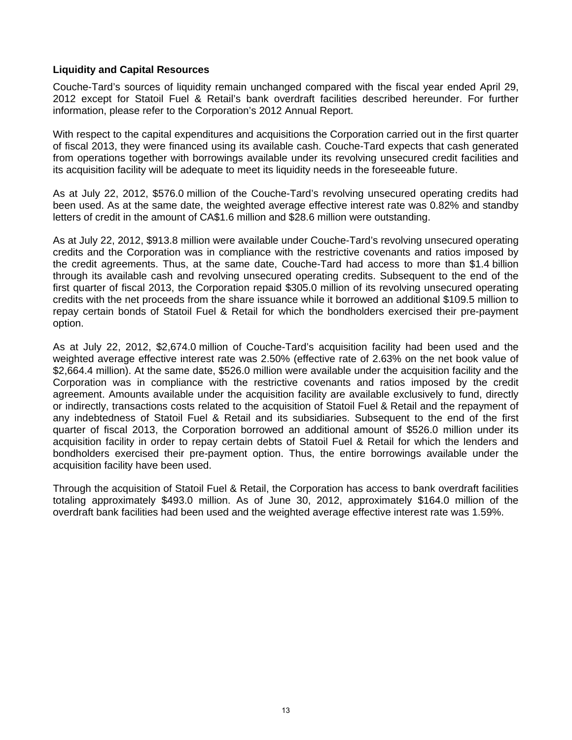## **Liquidity and Capital Resources**

Couche-Tard's sources of liquidity remain unchanged compared with the fiscal year ended April 29, 2012 except for Statoil Fuel & Retail's bank overdraft facilities described hereunder. For further information, please refer to the Corporation's 2012 Annual Report.

With respect to the capital expenditures and acquisitions the Corporation carried out in the first quarter of fiscal 2013, they were financed using its available cash. Couche-Tard expects that cash generated from operations together with borrowings available under its revolving unsecured credit facilities and its acquisition facility will be adequate to meet its liquidity needs in the foreseeable future.

As at July 22, 2012, \$576.0 million of the Couche-Tard's revolving unsecured operating credits had been used. As at the same date, the weighted average effective interest rate was 0.82% and standby letters of credit in the amount of CA\$1.6 million and \$28.6 million were outstanding.

As at July 22, 2012, \$913.8 million were available under Couche-Tard's revolving unsecured operating credits and the Corporation was in compliance with the restrictive covenants and ratios imposed by the credit agreements. Thus, at the same date, Couche-Tard had access to more than \$1.4 billion through its available cash and revolving unsecured operating credits. Subsequent to the end of the first quarter of fiscal 2013, the Corporation repaid \$305.0 million of its revolving unsecured operating credits with the net proceeds from the share issuance while it borrowed an additional \$109.5 million to repay certain bonds of Statoil Fuel & Retail for which the bondholders exercised their pre-payment option.

As at July 22, 2012, \$2,674.0 million of Couche-Tard's acquisition facility had been used and the weighted average effective interest rate was 2.50% (effective rate of 2.63% on the net book value of \$2,664.4 million). At the same date, \$526.0 million were available under the acquisition facility and the Corporation was in compliance with the restrictive covenants and ratios imposed by the credit agreement. Amounts available under the acquisition facility are available exclusively to fund, directly or indirectly, transactions costs related to the acquisition of Statoil Fuel & Retail and the repayment of any indebtedness of Statoil Fuel & Retail and its subsidiaries. Subsequent to the end of the first quarter of fiscal 2013, the Corporation borrowed an additional amount of \$526.0 million under its acquisition facility in order to repay certain debts of Statoil Fuel & Retail for which the lenders and bondholders exercised their pre-payment option. Thus, the entire borrowings available under the acquisition facility have been used.

Through the acquisition of Statoil Fuel & Retail, the Corporation has access to bank overdraft facilities totaling approximately \$493.0 million. As of June 30, 2012, approximately \$164.0 million of the overdraft bank facilities had been used and the weighted average effective interest rate was 1.59%.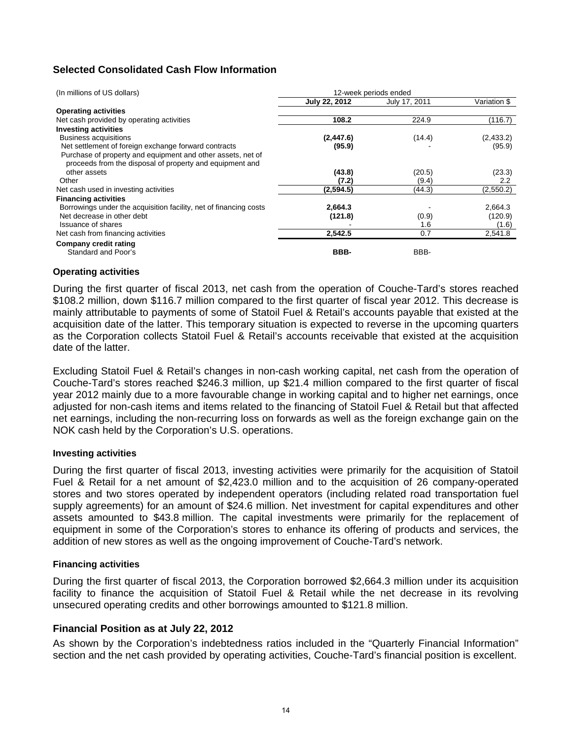## **Selected Consolidated Cash Flow Information**

| (In millions of US dollars)                                                                                             | 12-week periods ended |               |                  |  |  |
|-------------------------------------------------------------------------------------------------------------------------|-----------------------|---------------|------------------|--|--|
|                                                                                                                         | July 22, 2012         | July 17, 2011 | Variation \$     |  |  |
| <b>Operating activities</b>                                                                                             |                       |               |                  |  |  |
| Net cash provided by operating activities                                                                               | 108.2                 | 224.9         | (116.7)          |  |  |
| <b>Investing activities</b>                                                                                             |                       |               |                  |  |  |
| <b>Business acquisitions</b>                                                                                            | (2, 447.6)            | (14.4)        | (2,433.2)        |  |  |
| Net settlement of foreign exchange forward contracts                                                                    | (95.9)                |               | (95.9)           |  |  |
| Purchase of property and equipment and other assets, net of<br>proceeds from the disposal of property and equipment and |                       |               |                  |  |  |
| other assets                                                                                                            | (43.8)                | (20.5)        | (23.3)           |  |  |
| Other                                                                                                                   | (7.2)                 | (9.4)         | $2.2\phantom{0}$ |  |  |
| Net cash used in investing activities                                                                                   | (2,594.5)             | (44.3)        | (2,550.2)        |  |  |
| <b>Financing activities</b>                                                                                             |                       |               |                  |  |  |
| Borrowings under the acquisition facility, net of financing costs                                                       | 2,664.3               |               | 2,664.3          |  |  |
| Net decrease in other debt                                                                                              | (121.8)               | (0.9)         | (120.9)          |  |  |
| Issuance of shares                                                                                                      |                       | 1.6           | (1.6)            |  |  |
| Net cash from financing activities                                                                                      | 2,542.5               | 0.7           | 2,541.8          |  |  |
| <b>Company credit rating</b>                                                                                            |                       |               |                  |  |  |
| Standard and Poor's                                                                                                     | BBB-                  | BBB-          |                  |  |  |

### **Operating activities**

During the first quarter of fiscal 2013, net cash from the operation of Couche-Tard's stores reached \$108.2 million, down \$116.7 million compared to the first quarter of fiscal year 2012. This decrease is mainly attributable to payments of some of Statoil Fuel & Retail's accounts payable that existed at the acquisition date of the latter. This temporary situation is expected to reverse in the upcoming quarters as the Corporation collects Statoil Fuel & Retail's accounts receivable that existed at the acquisition date of the latter.

Excluding Statoil Fuel & Retail's changes in non-cash working capital, net cash from the operation of Couche-Tard's stores reached \$246.3 million, up \$21.4 million compared to the first quarter of fiscal year 2012 mainly due to a more favourable change in working capital and to higher net earnings, once adjusted for non-cash items and items related to the financing of Statoil Fuel & Retail but that affected net earnings, including the non-recurring loss on forwards as well as the foreign exchange gain on the NOK cash held by the Corporation's U.S. operations.

### **Investing activities**

During the first quarter of fiscal 2013, investing activities were primarily for the acquisition of Statoil Fuel & Retail for a net amount of \$2,423.0 million and to the acquisition of 26 company-operated stores and two stores operated by independent operators (including related road transportation fuel supply agreements) for an amount of \$24.6 million. Net investment for capital expenditures and other assets amounted to \$43.8 million. The capital investments were primarily for the replacement of equipment in some of the Corporation's stores to enhance its offering of products and services, the addition of new stores as well as the ongoing improvement of Couche-Tard's network.

## **Financing activities**

During the first quarter of fiscal 2013, the Corporation borrowed \$2,664.3 million under its acquisition facility to finance the acquisition of Statoil Fuel & Retail while the net decrease in its revolving unsecured operating credits and other borrowings amounted to \$121.8 million.

## **Financial Position as at July 22, 2012**

As shown by the Corporation's indebtedness ratios included in the "Quarterly Financial Information" section and the net cash provided by operating activities, Couche-Tard's financial position is excellent.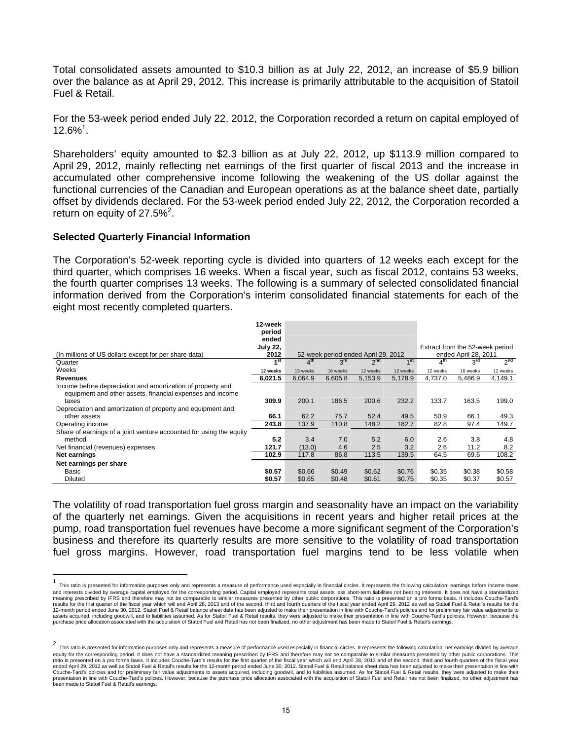Total consolidated assets amounted to \$10.3 billion as at July 22, 2012, an increase of \$5.9 billion over the balance as at April 29, 2012. This increase is primarily attributable to the acquisition of Statoil Fuel & Retail.

For the 53-week period ended July 22, 2012, the Corporation recorded a return on capital employed of  $12.6\%$ <sup>1</sup>.

Shareholders' equity amounted to \$2.3 billion as at July 22, 2012, up \$113.9 million compared to April 29, 2012, mainly reflecting net earnings of the first quarter of fiscal 2013 and the increase in accumulated other comprehensive income following the weakening of the US dollar against the functional currencies of the Canadian and European operations as at the balance sheet date, partially offset by dividends declared. For the 53-week period ended July 22, 2012, the Corporation recorded a return on equity of 27.5% $2^2$ .

### **Selected Quarterly Financial Information**

 $\overline{a}$ 

The Corporation's 52-week reporting cycle is divided into quarters of 12 weeks each except for the third quarter, which comprises 16 weeks. When a fiscal year, such as fiscal 2012, contains 53 weeks, the fourth quarter comprises 13 weeks. The following is a summary of selected consolidated financial information derived from the Corporation's interim consolidated financial statements for each of the eight most recently completed quarters.

| (In millions of US dollars except for per share data)                                                                                                                                                            | 12-week<br>period<br>ended<br><b>July 22,</b><br>2012 |                        |                    | 52-week period ended April 29, 2012 |                     |                    | Extract from the 52-week period<br>ended April 28, 2011 |                     |
|------------------------------------------------------------------------------------------------------------------------------------------------------------------------------------------------------------------|-------------------------------------------------------|------------------------|--------------------|-------------------------------------|---------------------|--------------------|---------------------------------------------------------|---------------------|
| Quarter                                                                                                                                                                                                          | <b>A</b> St                                           | 4 <sup>th</sup>        | 3 <sup>rd</sup>    | 2 <sup>nd</sup>                     | $A$ St              | 4 <sup>th</sup>    | $3^{\text{rd}}$                                         | $2^{nd}$            |
| Weeks                                                                                                                                                                                                            | 12 weeks                                              | 13 weeks               | 16 weeks           | 12 weeks                            | 12 weeks            | 12 weeks           | 16 weeks                                                | 12 weeks            |
| <b>Revenues</b>                                                                                                                                                                                                  | 6,021.5                                               | 6,064.9                | 6,605.8            | 5,153.9                             | 5,178.9             | 4,737.0            | 5,486.9                                                 | 4,149.1             |
| Income before depreciation and amortization of property and<br>equipment and other assets. financial expenses and income<br>taxes<br>Depreciation and amortization of property and equipment and<br>other assets | 309.9<br>66.1                                         | 200.1<br>62.2          | 186.5<br>75.7      | 200.6<br>52.4                       | 232.2<br>49.5       | 133.7<br>50.9      | 163.5<br>66.1                                           | 199.0<br>49.3       |
| Operating income                                                                                                                                                                                                 | 243.8                                                 | 137.9                  | 110.8              | 148.2                               | 182.7               | 82.8               | 97.4                                                    | 149.7               |
| Share of earnings of a joint venture accounted for using the equity<br>method<br>Net financial (revenues) expenses<br><b>Net earnings</b>                                                                        | 5.2<br>121.7<br>102.9                                 | 3.4<br>(13.0)<br>117.8 | 7.0<br>4.6<br>86.8 | 5.2<br>2.5<br>113.5                 | 6.0<br>3.2<br>139.5 | 2.6<br>2.6<br>64.5 | 3.8<br>11.2<br>69.6                                     | 4.8<br>8.2<br>108.2 |
| Net earnings per share<br>Basic<br>Diluted                                                                                                                                                                       | \$0.57<br>\$0.57                                      | \$0.66<br>\$0.65       | \$0.49<br>\$0.48   | \$0.62<br>\$0.61                    | \$0.76<br>\$0.75    | \$0.35<br>\$0.35   | \$0.38<br>\$0.37                                        | \$0.58<br>\$0.57    |

The volatility of road transportation fuel gross margin and seasonality have an impact on the variability of the quarterly net earnings. Given the acquisitions in recent years and higher retail prices at the pump, road transportation fuel revenues have become a more significant segment of the Corporation's business and therefore its quarterly results are more sensitive to the volatility of road transportation fuel gross margins. However, road transportation fuel margins tend to be less volatile when

<sup>1&</sup>lt;br>This ratio is presented for information purposes only and represents a measure of performance used especially in financial circles. It represents the following calculation: earnings before income taxes and interests divided by average capital employed for the corresponding period. Capital employed represents total assets less short-term liabilities not bearing interests. It does not have a standardized meaning prescribed by IFRS and therefore may not be comparable to similar measures presented by other public corporations. This ratio is presented on a pro forma basis. It includes Couche-Tard's<br>results for the first quart assets acquired, including goodwill, and to liabilities assumed. As for Statoil Fuel & Retail results, they were adjusted to make their presentation in line with Couche-Tard's policies. However, because the<br>purchase price

<sup>2</sup> This ratio is presented for information purposes only and represents a measure of performance used especially in financial circles. It represents the following calculation: net earnings divided by average equity for the corresponding period. It does not have a standardized meaning prescribed by IFRS and therefore may not be comparable to similar measures presented by other public corporations. This<br>ratio is presented on a p ended April 29, 2012 as well as Statoil Fuel & Retail's results for the 12-month period ended June 30, 2012. Statoil Fuel & Retail balance sheet data has been adjusted to make their presentation in line with Couche-Tard's policies and for preliminary fair value adjustments to assets acquired, including goodwill, and to liabilities assumed. As for Statoil Fuel & Retail results, they were adjusted to make their<br>presentation in l been made to Statoil Fuel & Retail's earnings.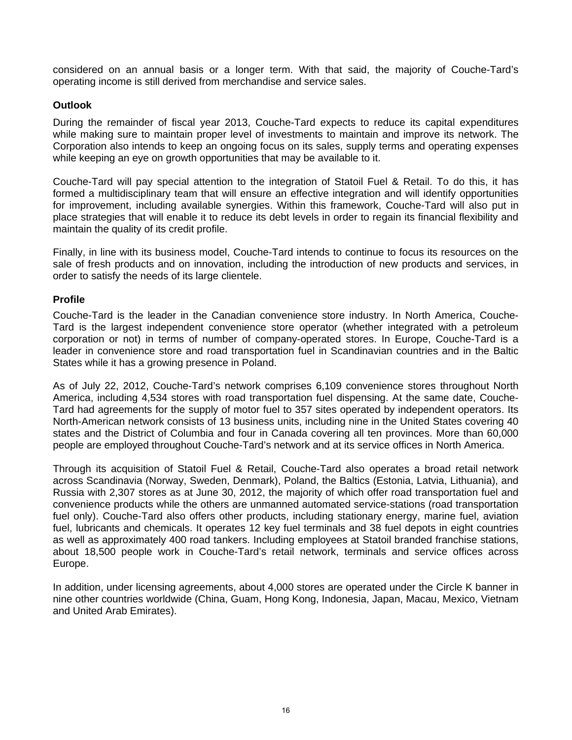considered on an annual basis or a longer term. With that said, the majority of Couche-Tard's operating income is still derived from merchandise and service sales.

## **Outlook**

During the remainder of fiscal year 2013, Couche-Tard expects to reduce its capital expenditures while making sure to maintain proper level of investments to maintain and improve its network. The Corporation also intends to keep an ongoing focus on its sales, supply terms and operating expenses while keeping an eye on growth opportunities that may be available to it.

Couche-Tard will pay special attention to the integration of Statoil Fuel & Retail. To do this, it has formed a multidisciplinary team that will ensure an effective integration and will identify opportunities for improvement, including available synergies. Within this framework, Couche-Tard will also put in place strategies that will enable it to reduce its debt levels in order to regain its financial flexibility and maintain the quality of its credit profile.

Finally, in line with its business model, Couche-Tard intends to continue to focus its resources on the sale of fresh products and on innovation, including the introduction of new products and services, in order to satisfy the needs of its large clientele.

## **Profile**

Couche-Tard is the leader in the Canadian convenience store industry. In North America, Couche-Tard is the largest independent convenience store operator (whether integrated with a petroleum corporation or not) in terms of number of company-operated stores. In Europe, Couche-Tard is a leader in convenience store and road transportation fuel in Scandinavian countries and in the Baltic States while it has a growing presence in Poland.

As of July 22, 2012, Couche-Tard's network comprises 6,109 convenience stores throughout North America, including 4,534 stores with road transportation fuel dispensing. At the same date, Couche-Tard had agreements for the supply of motor fuel to 357 sites operated by independent operators. Its North-American network consists of 13 business units, including nine in the United States covering 40 states and the District of Columbia and four in Canada covering all ten provinces. More than 60,000 people are employed throughout Couche-Tard's network and at its service offices in North America.

Through its acquisition of Statoil Fuel & Retail, Couche-Tard also operates a broad retail network across Scandinavia (Norway, Sweden, Denmark), Poland, the Baltics (Estonia, Latvia, Lithuania), and Russia with 2,307 stores as at June 30, 2012, the majority of which offer road transportation fuel and convenience products while the others are unmanned automated service-stations (road transportation fuel only). Couche-Tard also offers other products, including stationary energy, marine fuel, aviation fuel, lubricants and chemicals. It operates 12 key fuel terminals and 38 fuel depots in eight countries as well as approximately 400 road tankers. Including employees at Statoil branded franchise stations, about 18,500 people work in Couche-Tard's retail network, terminals and service offices across Europe.

In addition, under licensing agreements, about 4,000 stores are operated under the Circle K banner in nine other countries worldwide (China, Guam, Hong Kong, Indonesia, Japan, Macau, Mexico, Vietnam and United Arab Emirates).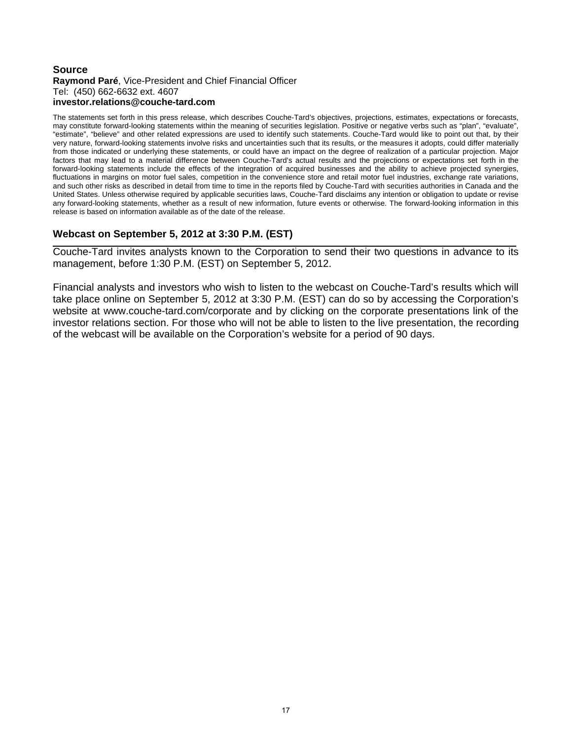### **Source Raymond Paré**, Vice-President and Chief Financial Officer Tel: (450) 662-6632 ext. 4607 **investor.relations@couche-tard.com**

The statements set forth in this press release, which describes Couche-Tard's objectives, projections, estimates, expectations or forecasts, may constitute forward-looking statements within the meaning of securities legislation. Positive or negative verbs such as "plan", "evaluate", "estimate", "believe" and other related expressions are used to identify such statements. Couche-Tard would like to point out that, by their very nature, forward-looking statements involve risks and uncertainties such that its results, or the measures it adopts, could differ materially from those indicated or underlying these statements, or could have an impact on the degree of realization of a particular projection. Major factors that may lead to a material difference between Couche-Tard's actual results and the projections or expectations set forth in the forward-looking statements include the effects of the integration of acquired businesses and the ability to achieve projected synergies, fluctuations in margins on motor fuel sales, competition in the convenience store and retail motor fuel industries, exchange rate variations, and such other risks as described in detail from time to time in the reports filed by Couche-Tard with securities authorities in Canada and the United States. Unless otherwise required by applicable securities laws, Couche-Tard disclaims any intention or obligation to update or revise any forward-looking statements, whether as a result of new information, future events or otherwise. The forward-looking information in this release is based on information available as of the date of the release.

## **Webcast on September 5, 2012 at 3:30 P.M. (EST)**

Couche-Tard invites analysts known to the Corporation to send their two questions in advance to its management, before 1:30 P.M. (EST) on September 5, 2012.

Financial analysts and investors who wish to listen to the webcast on Couche-Tard's results which will take place online on September 5, 2012 at 3:30 P.M. (EST) can do so by accessing the Corporation's website at www.couche-tard.com/corporate and by clicking on the corporate presentations link of the investor relations section. For those who will not be able to listen to the live presentation, the recording of the webcast will be available on the Corporation's website for a period of 90 days.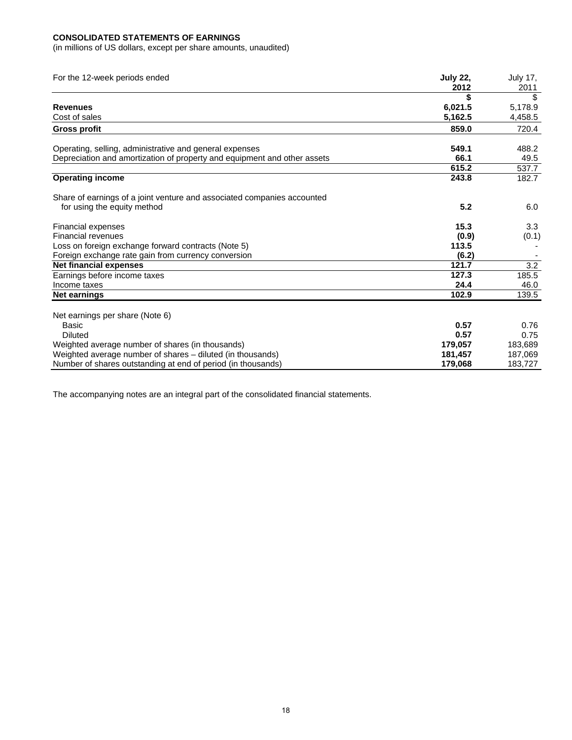### **CONSOLIDATED STATEMENTS OF EARNINGS**

(in millions of US dollars, except per share amounts, unaudited)

| For the 12-week periods ended                                            | <b>July 22,</b> | July 17,         |
|--------------------------------------------------------------------------|-----------------|------------------|
|                                                                          | 2012            | 2011             |
|                                                                          | \$              | \$               |
| <b>Revenues</b>                                                          | 6,021.5         | 5,178.9          |
| Cost of sales                                                            | 5,162.5         | 4,458.5          |
| Gross profit                                                             | 859.0           | 720.4            |
| Operating, selling, administrative and general expenses                  | 549.1           | 488.2            |
| Depreciation and amortization of property and equipment and other assets | 66.1            | 49.5             |
|                                                                          | 615.2           | 537.7            |
| <b>Operating income</b>                                                  | 243.8           | 182.7            |
| Share of earnings of a joint venture and associated companies accounted  |                 |                  |
| for using the equity method                                              | 5.2             | 6.0              |
| Financial expenses                                                       | 15.3            | 3.3 <sub>2</sub> |
| <b>Financial revenues</b>                                                | (0.9)           | (0.1)            |
| Loss on foreign exchange forward contracts (Note 5)                      | 113.5           |                  |
| Foreign exchange rate gain from currency conversion                      | (6.2)           |                  |
| <b>Net financial expenses</b>                                            | 121.7           | 3.2              |
| Earnings before income taxes                                             | 127.3           | 185.5            |
| Income taxes                                                             | 24.4            | 46.0             |
| Net earnings                                                             | 102.9           | 139.5            |
|                                                                          |                 |                  |
| Net earnings per share (Note 6)                                          |                 |                  |
| Basic                                                                    | 0.57            | 0.76             |
| Diluted                                                                  | 0.57            | 0.75             |
| Weighted average number of shares (in thousands)                         | 179,057         | 183,689          |
| Weighted average number of shares - diluted (in thousands)               | 181,457         | 187,069          |
| Number of shares outstanding at end of period (in thousands)             | 179,068         | 183,727          |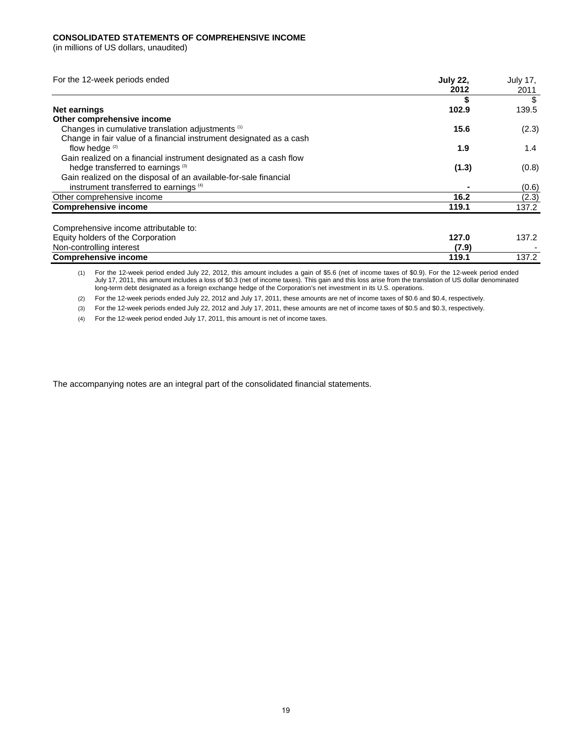#### **CONSOLIDATED STATEMENTS OF COMPREHENSIVE INCOME**

(in millions of US dollars, unaudited)

| For the 12-week periods ended                                       | <b>July 22,</b><br>2012 | <b>July 17,</b><br>2011 |
|---------------------------------------------------------------------|-------------------------|-------------------------|
|                                                                     | S                       | \$                      |
| Net earnings                                                        | 102.9                   | 139.5                   |
| Other comprehensive income                                          |                         |                         |
| Changes in cumulative translation adjustments (1)                   | 15.6                    | (2.3)                   |
| Change in fair value of a financial instrument designated as a cash |                         |                         |
| flow hedge $(2)$                                                    | 1.9                     | 1.4                     |
| Gain realized on a financial instrument designated as a cash flow   |                         |                         |
| hedge transferred to earnings <sup>(3)</sup>                        | (1.3)                   | (0.8)                   |
| Gain realized on the disposal of an available-for-sale financial    |                         |                         |
| instrument transferred to earnings <sup>(4)</sup>                   |                         | (0.6)                   |
| Other comprehensive income                                          | 16.2                    | (2.3)                   |
| <b>Comprehensive income</b>                                         | 119.1                   | 137.2                   |
| Comprehensive income attributable to:                               |                         |                         |
| Equity holders of the Corporation                                   | 127.0                   | 137.2                   |
| Non-controlling interest                                            | (7.9)                   |                         |
| <b>Comprehensive income</b>                                         | 119.1                   | 137.2                   |
|                                                                     |                         |                         |

(1) For the 12-week period ended July 22, 2012, this amount includes a gain of \$5.6 (net of income taxes of \$0.9). For the 12-week period ended July 17, 2011, this amount includes a loss of \$0.3 (net of income taxes). This gain and this loss arise from the translation of US dollar denominated long-term debt designated as a foreign exchange hedge of the Corporation's net investment in its U.S. operations.

(2) For the 12-week periods ended July 22, 2012 and July 17, 2011, these amounts are net of income taxes of \$0.6 and \$0.4, respectively.

(3) For the 12-week periods ended July 22, 2012 and July 17, 2011, these amounts are net of income taxes of \$0.5 and \$0.3, respectively.

(4) For the 12-week period ended July 17, 2011, this amount is net of income taxes.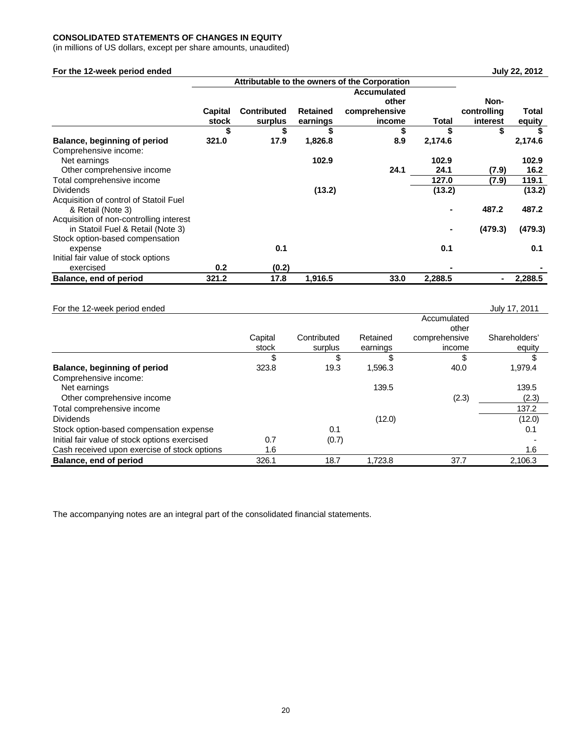### **CONSOLIDATED STATEMENTS OF CHANGES IN EQUITY**

(in millions of US dollars, except per share amounts, unaudited)

| For the 12-week period ended                                |         |                    |                 |                                               |                |             | <b>July 22, 2012</b> |
|-------------------------------------------------------------|---------|--------------------|-----------------|-----------------------------------------------|----------------|-------------|----------------------|
|                                                             |         |                    |                 | Attributable to the owners of the Corporation |                |             |                      |
|                                                             |         |                    |                 | <b>Accumulated</b><br>other                   |                | Non-        |                      |
|                                                             | Capital | <b>Contributed</b> | <b>Retained</b> | comprehensive                                 |                | controlling | Total                |
|                                                             | stock   | surplus            | earnings        | income                                        | Total          | interest    | equity               |
|                                                             | \$      |                    |                 |                                               |                | \$          |                      |
| Balance, beginning of period                                | 321.0   | 17.9               | 1,826.8         | 8.9                                           | 2,174.6        |             | 2,174.6              |
| Comprehensive income:                                       |         |                    |                 |                                               |                |             |                      |
| Net earnings                                                |         |                    | 102.9           |                                               | 102.9          |             | 102.9                |
| Other comprehensive income                                  |         |                    |                 | 24.1                                          | 24.1           | (7.9)       | 16.2                 |
| Total comprehensive income                                  |         |                    |                 |                                               | 127.0          | (7.9)       | 119.1                |
| <b>Dividends</b>                                            |         |                    | (13.2)          |                                               | (13.2)         |             | (13.2)               |
| Acquisition of control of Statoil Fuel<br>& Retail (Note 3) |         |                    |                 |                                               | $\blacksquare$ | 487.2       | 487.2                |
| Acquisition of non-controlling interest                     |         |                    |                 |                                               |                |             |                      |
| in Statoil Fuel & Retail (Note 3)                           |         |                    |                 |                                               | ۰              | (479.3)     | (479.3)              |
| Stock option-based compensation                             |         |                    |                 |                                               |                |             |                      |
| expense                                                     |         | 0.1                |                 |                                               | 0.1            |             | 0.1                  |
| Initial fair value of stock options                         |         |                    |                 |                                               |                |             |                      |
| exercised                                                   | 0.2     | (0.2)              |                 |                                               |                |             |                      |
| Balance, end of period                                      | 321.2   | 17.8               | 1,916.5         | 33.0                                          | 2,288.5        |             | 2,288.5              |

### For the 12-week period ended July 17, 2011

|         |             |          |                      | $0.41$ $1.1$ $1.1$ |
|---------|-------------|----------|----------------------|--------------------|
|         |             |          | Accumulated<br>other |                    |
| Capital | Contributed | Retained | comprehensive        | Shareholders'      |
| stock   | surplus     | earnings | income               | equity             |
|         |             |          |                      | S                  |
| 323.8   | 19.3        | 1,596.3  | 40.0                 | 1,979.4            |
|         |             |          |                      |                    |
|         |             | 139.5    |                      | 139.5              |
|         |             |          | (2.3)                | (2.3)              |
|         |             |          |                      | 137.2              |
|         |             | (12.0)   |                      | (12.0)             |
|         | 0.1         |          |                      | 0.1                |
| 0.7     | (0.7)       |          |                      |                    |
| 1.6     |             |          |                      | 1.6                |
| 326.1   | 18.7        | 1.723.8  | 37.7                 | 2,106.3            |
|         |             |          |                      |                    |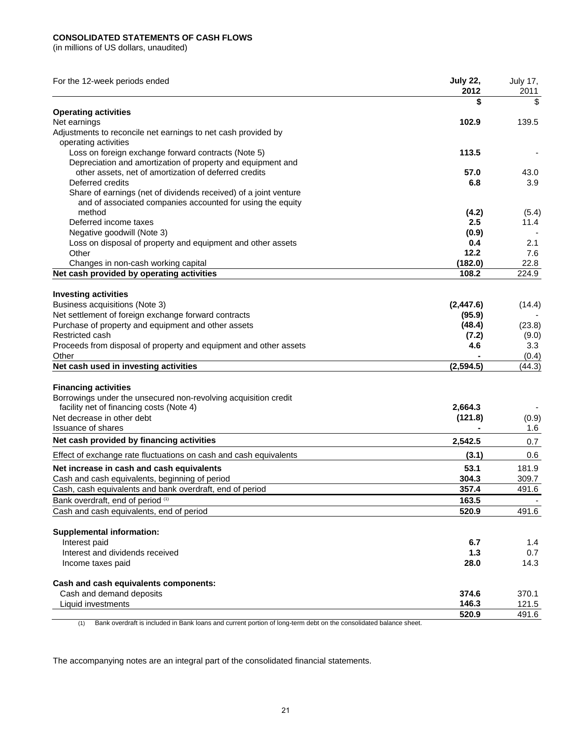### **CONSOLIDATED STATEMENTS OF CASH FLOWS**

(in millions of US dollars, unaudited)

| For the 12-week periods ended                                                                                                  | <b>July 22,</b><br>2012 | <b>July 17,</b><br>2011 |
|--------------------------------------------------------------------------------------------------------------------------------|-------------------------|-------------------------|
|                                                                                                                                | \$                      | \$                      |
| <b>Operating activities</b>                                                                                                    |                         |                         |
| Net earnings                                                                                                                   | 102.9                   | 139.5                   |
| Adjustments to reconcile net earnings to net cash provided by<br>operating activities                                          |                         |                         |
| Loss on foreign exchange forward contracts (Note 5)                                                                            | 113.5                   |                         |
| Depreciation and amortization of property and equipment and                                                                    |                         |                         |
| other assets, net of amortization of deferred credits                                                                          | 57.0                    | 43.0                    |
| Deferred credits                                                                                                               | 6.8                     | 3.9                     |
| Share of earnings (net of dividends received) of a joint venture<br>and of associated companies accounted for using the equity |                         |                         |
| method                                                                                                                         | (4.2)                   | (5.4)                   |
| Deferred income taxes                                                                                                          | 2.5                     | 11.4                    |
| Negative goodwill (Note 3)                                                                                                     | (0.9)                   |                         |
| Loss on disposal of property and equipment and other assets<br>Other                                                           | 0.4<br>12.2             | 2.1                     |
| Changes in non-cash working capital                                                                                            | (182.0)                 | 7.6<br>22.8             |
| Net cash provided by operating activities                                                                                      | 108.2                   | 224.9                   |
|                                                                                                                                |                         |                         |
| <b>Investing activities</b>                                                                                                    |                         |                         |
| Business acquisitions (Note 3)                                                                                                 | (2, 447.6)              | (14.4)                  |
| Net settlement of foreign exchange forward contracts                                                                           | (95.9)                  |                         |
| Purchase of property and equipment and other assets<br>Restricted cash                                                         | (48.4)                  | (23.8)                  |
| Proceeds from disposal of property and equipment and other assets                                                              | (7.2)<br>4.6            | (9.0)<br>3.3            |
| Other                                                                                                                          |                         | (0.4)                   |
| Net cash used in investing activities                                                                                          | (2, 594.5)              | (44.3)                  |
|                                                                                                                                |                         |                         |
| <b>Financing activities</b>                                                                                                    |                         |                         |
| Borrowings under the unsecured non-revolving acquisition credit<br>facility net of financing costs (Note 4)                    | 2,664.3                 |                         |
| Net decrease in other debt                                                                                                     | (121.8)                 | (0.9)                   |
| <b>Issuance of shares</b>                                                                                                      |                         | 1.6                     |
| Net cash provided by financing activities                                                                                      | 2,542.5                 | 0.7                     |
| Effect of exchange rate fluctuations on cash and cash equivalents                                                              | (3.1)                   | 0.6                     |
| Net increase in cash and cash equivalents                                                                                      | 53.1                    | 181.9                   |
| Cash and cash equivalents, beginning of period                                                                                 | 304.3                   | 309.7                   |
| Cash, cash equivalents and bank overdraft, end of period                                                                       | 357.4                   | 491.6                   |
| Bank overdraft, end of period (1)                                                                                              | 163.5                   |                         |
| Cash and cash equivalents, end of period                                                                                       | 520.9                   | 491.6                   |
| <b>Supplemental information:</b>                                                                                               |                         |                         |
| Interest paid                                                                                                                  | 6.7                     | 1.4                     |
| Interest and dividends received                                                                                                | 1.3                     | 0.7                     |
| Income taxes paid                                                                                                              | 28.0                    | 14.3                    |
| Cash and cash equivalents components:                                                                                          |                         |                         |
| Cash and demand deposits                                                                                                       | 374.6                   | 370.1                   |
| Liquid investments                                                                                                             | 146.3                   | 121.5                   |
|                                                                                                                                | 520.9                   | 491.6                   |

(1) Bank overdraft is included in Bank loans and current portion of long-term debt on the consolidated balance sheet.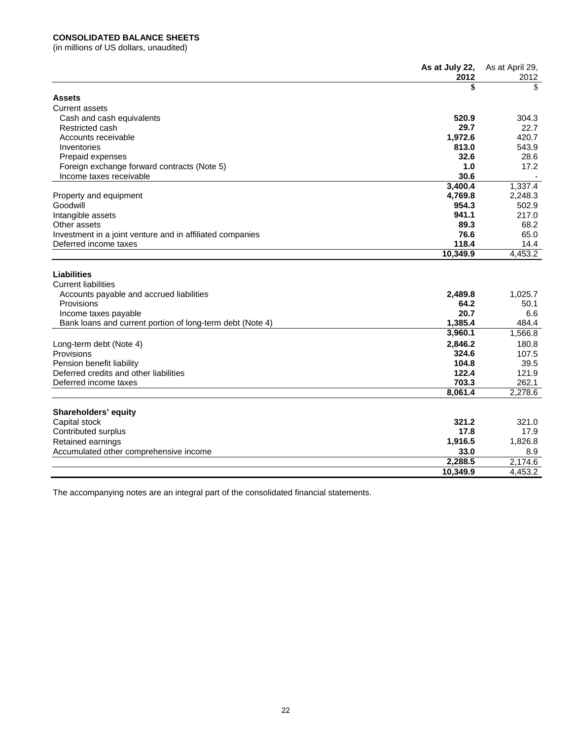### **CONSOLIDATED BALANCE SHEETS**

(in millions of US dollars, unaudited)

|                                                                     | As at July 22, | As at April 29, |
|---------------------------------------------------------------------|----------------|-----------------|
|                                                                     | 2012           | 2012            |
|                                                                     | \$             | \$              |
| <b>Assets</b>                                                       |                |                 |
| <b>Current assets</b>                                               |                |                 |
| Cash and cash equivalents                                           | 520.9          | 304.3           |
| Restricted cash                                                     | 29.7           | 22.7            |
| Accounts receivable                                                 | 1,972.6        | 420.7           |
| Inventories                                                         | 813.0          | 543.9           |
| Prepaid expenses                                                    | 32.6           | 28.6            |
| Foreign exchange forward contracts (Note 5)                         | 1.0            | 17.2            |
| Income taxes receivable                                             | 30.6           |                 |
|                                                                     | 3,400.4        | 1,337.4         |
| Property and equipment                                              | 4,769.8        | 2,248.3         |
| Goodwill                                                            | 954.3          | 502.9           |
| Intangible assets                                                   | 941.1          | 217.0           |
| Other assets                                                        | 89.3           | 68.2            |
| Investment in a joint venture and in affiliated companies           | 76.6           | 65.0            |
| Deferred income taxes                                               | 118.4          | 14.4            |
|                                                                     | 10,349.9       | 4,453.2         |
|                                                                     |                |                 |
| <b>Liabilities</b>                                                  |                |                 |
| <b>Current liabilities</b>                                          |                |                 |
| Accounts payable and accrued liabilities                            | 2,489.8        | 1,025.7<br>50.1 |
| Provisions                                                          | 64.2<br>20.7   |                 |
| Income taxes payable                                                | 1,385.4        | 6.6<br>484.4    |
| Bank loans and current portion of long-term debt (Note 4)           | 3,960.1        | 1,566.8         |
|                                                                     |                |                 |
| Long-term debt (Note 4)                                             | 2,846.2        | 180.8           |
| Provisions                                                          | 324.6<br>104.8 | 107.5           |
| Pension benefit liability<br>Deferred credits and other liabilities | 122.4          | 39.5            |
| Deferred income taxes                                               | 703.3          | 121.9<br>262.1  |
|                                                                     | 8,061.4        | 2,278.6         |
|                                                                     |                |                 |
| Shareholders' equity                                                |                |                 |
| Capital stock                                                       | 321.2          | 321.0           |
| Contributed surplus                                                 | 17.8           | 17.9            |
| Retained earnings                                                   | 1,916.5        | 1,826.8         |
| Accumulated other comprehensive income                              | 33.0           | 8.9             |
|                                                                     | 2,288.5        | 2,174.6         |
|                                                                     | 10,349.9       | 4,453.2         |
|                                                                     |                |                 |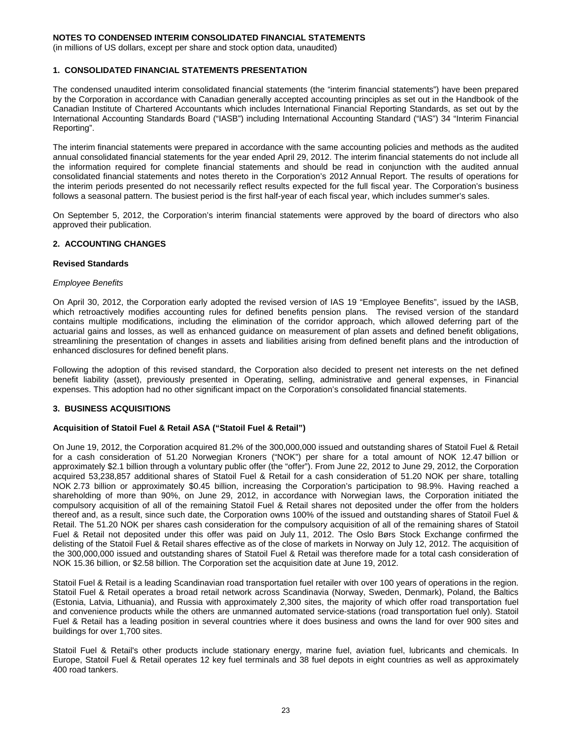(in millions of US dollars, except per share and stock option data, unaudited)

#### **1. CONSOLIDATED FINANCIAL STATEMENTS PRESENTATION**

The condensed unaudited interim consolidated financial statements (the "interim financial statements") have been prepared by the Corporation in accordance with Canadian generally accepted accounting principles as set out in the Handbook of the Canadian Institute of Chartered Accountants which includes International Financial Reporting Standards, as set out by the International Accounting Standards Board ("IASB") including International Accounting Standard ("IAS") 34 "Interim Financial Reporting".

The interim financial statements were prepared in accordance with the same accounting policies and methods as the audited annual consolidated financial statements for the year ended April 29, 2012. The interim financial statements do not include all the information required for complete financial statements and should be read in conjunction with the audited annual consolidated financial statements and notes thereto in the Corporation's 2012 Annual Report. The results of operations for the interim periods presented do not necessarily reflect results expected for the full fiscal year. The Corporation's business follows a seasonal pattern. The busiest period is the first half-year of each fiscal year, which includes summer's sales.

On September 5, 2012, the Corporation's interim financial statements were approved by the board of directors who also approved their publication.

#### **2. ACCOUNTING CHANGES**

#### **Revised Standards**

#### *Employee Benefits*

On April 30, 2012, the Corporation early adopted the revised version of IAS 19 "Employee Benefits", issued by the IASB, which retroactively modifies accounting rules for defined benefits pension plans. The revised version of the standard contains multiple modifications, including the elimination of the corridor approach, which allowed deferring part of the actuarial gains and losses, as well as enhanced guidance on measurement of plan assets and defined benefit obligations, streamlining the presentation of changes in assets and liabilities arising from defined benefit plans and the introduction of enhanced disclosures for defined benefit plans.

Following the adoption of this revised standard, the Corporation also decided to present net interests on the net defined benefit liability (asset), previously presented in Operating, selling, administrative and general expenses, in Financial expenses. This adoption had no other significant impact on the Corporation's consolidated financial statements.

#### **3. BUSINESS ACQUISITIONS**

#### **Acquisition of Statoil Fuel & Retail ASA ("Statoil Fuel & Retail")**

On June 19, 2012, the Corporation acquired 81.2% of the 300,000,000 issued and outstanding shares of Statoil Fuel & Retail for a cash consideration of 51.20 Norwegian Kroners ("NOK") per share for a total amount of NOK 12.47 billion or approximately \$2.1 billion through a voluntary public offer (the "offer"). From June 22, 2012 to June 29, 2012, the Corporation acquired 53,238,857 additional shares of Statoil Fuel & Retail for a cash consideration of 51.20 NOK per share, totalling NOK 2.73 billion or approximately \$0.45 billion, increasing the Corporation's participation to 98.9%. Having reached a shareholding of more than 90%, on June 29, 2012, in accordance with Norwegian laws, the Corporation initiated the compulsory acquisition of all of the remaining Statoil Fuel & Retail shares not deposited under the offer from the holders thereof and, as a result, since such date, the Corporation owns 100% of the issued and outstanding shares of Statoil Fuel & Retail. The 51.20 NOK per shares cash consideration for the compulsory acquisition of all of the remaining shares of Statoil Fuel & Retail not deposited under this offer was paid on July 11, 2012. The Oslo Børs Stock Exchange confirmed the delisting of the Statoil Fuel & Retail shares effective as of the close of markets in Norway on July 12, 2012. The acquisition of the 300,000,000 issued and outstanding shares of Statoil Fuel & Retail was therefore made for a total cash consideration of NOK 15.36 billion, or \$2.58 billion. The Corporation set the acquisition date at June 19, 2012.

Statoil Fuel & Retail is a leading Scandinavian road transportation fuel retailer with over 100 years of operations in the region. Statoil Fuel & Retail operates a broad retail network across Scandinavia (Norway, Sweden, Denmark), Poland, the Baltics (Estonia, Latvia, Lithuania), and Russia with approximately 2,300 sites, the majority of which offer road transportation fuel and convenience products while the others are unmanned automated service-stations (road transportation fuel only). Statoil Fuel & Retail has a leading position in several countries where it does business and owns the land for over 900 sites and buildings for over 1,700 sites.

Statoil Fuel & Retail's other products include stationary energy, marine fuel, aviation fuel, lubricants and chemicals. In Europe, Statoil Fuel & Retail operates 12 key fuel terminals and 38 fuel depots in eight countries as well as approximately 400 road tankers.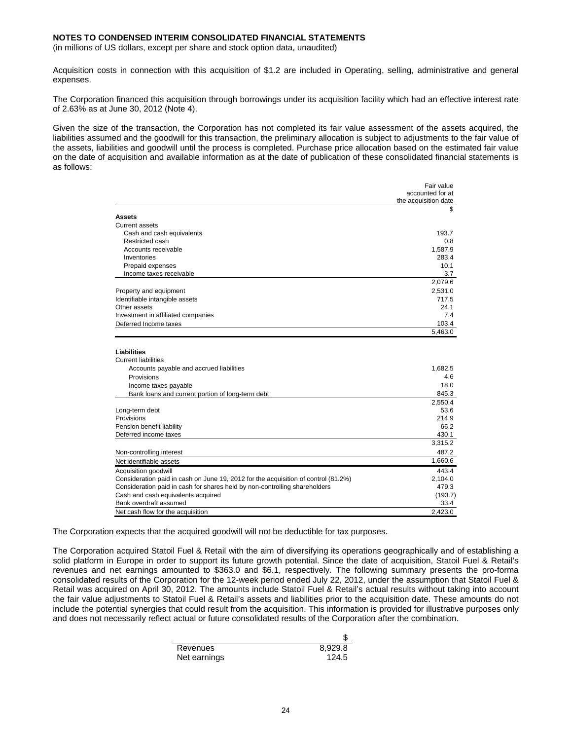(in millions of US dollars, except per share and stock option data, unaudited)

Acquisition costs in connection with this acquisition of \$1.2 are included in Operating, selling, administrative and general expenses.

The Corporation financed this acquisition through borrowings under its acquisition facility which had an effective interest rate of 2.63% as at June 30, 2012 (Note 4).

Given the size of the transaction, the Corporation has not completed its fair value assessment of the assets acquired, the liabilities assumed and the goodwill for this transaction, the preliminary allocation is subject to adjustments to the fair value of the assets, liabilities and goodwill until the process is completed. Purchase price allocation based on the estimated fair value on the date of acquisition and available information as at the date of publication of these consolidated financial statements is as follows:

|                                                                                    | Fair value           |
|------------------------------------------------------------------------------------|----------------------|
|                                                                                    | accounted for at     |
|                                                                                    | the acquisition date |
| <b>Assets</b>                                                                      | \$                   |
| <b>Current assets</b>                                                              |                      |
| Cash and cash equivalents                                                          | 193.7                |
| Restricted cash                                                                    | 0.8                  |
| Accounts receivable                                                                | 1,587.9              |
| Inventories                                                                        | 283.4                |
| Prepaid expenses                                                                   | 10.1                 |
| Income taxes receivable                                                            | 3.7                  |
|                                                                                    | 2,079.6              |
| Property and equipment                                                             | 2,531.0              |
| Identifiable intangible assets                                                     | 717.5                |
| Other assets                                                                       | 24.1                 |
| Investment in affiliated companies                                                 | 7.4                  |
| Deferred Income taxes                                                              | 103.4                |
|                                                                                    | 5,463.0              |
|                                                                                    |                      |
|                                                                                    |                      |
| <b>Liabilities</b>                                                                 |                      |
| <b>Current liabilities</b>                                                         |                      |
| Accounts payable and accrued liabilities                                           | 1,682.5              |
| Provisions                                                                         | 4.6                  |
| Income taxes payable                                                               | 18.0                 |
| Bank loans and current portion of long-term debt                                   | 845.3                |
|                                                                                    | 2.550.4              |
| Long-term debt                                                                     | 53.6                 |
| Provisions                                                                         | 214.9                |
| Pension benefit liability                                                          | 66.2                 |
| Deferred income taxes                                                              | 430.1                |
|                                                                                    | 3,315.2              |
| Non-controlling interest                                                           | 487.2                |
| Net identifiable assets                                                            | 1,660.6              |
| Acquisition goodwill                                                               | 443.4                |
| Consideration paid in cash on June 19, 2012 for the acquisition of control (81.2%) | 2,104.0              |
| Consideration paid in cash for shares held by non-controlling shareholders         | 479.3                |
| Cash and cash equivalents acquired                                                 | (193.7)              |
| Bank overdraft assumed                                                             | 33.4                 |
| Net cash flow for the acquisition                                                  | 2,423.0              |

The Corporation expects that the acquired goodwill will not be deductible for tax purposes.

The Corporation acquired Statoil Fuel & Retail with the aim of diversifying its operations geographically and of establishing a solid platform in Europe in order to support its future growth potential. Since the date of acquisition, Statoil Fuel & Retail's revenues and net earnings amounted to \$363.0 and \$6.1, respectively. The following summary presents the pro-forma consolidated results of the Corporation for the 12-week period ended July 22, 2012, under the assumption that Statoil Fuel & Retail was acquired on April 30, 2012. The amounts include Statoil Fuel & Retail's actual results without taking into account the fair value adjustments to Statoil Fuel & Retail's assets and liabilities prior to the acquisition date. These amounts do not include the potential synergies that could result from the acquisition. This information is provided for illustrative purposes only and does not necessarily reflect actual or future consolidated results of the Corporation after the combination.

| Revenues     | 8,929.8 |
|--------------|---------|
| Net earnings | 124.5   |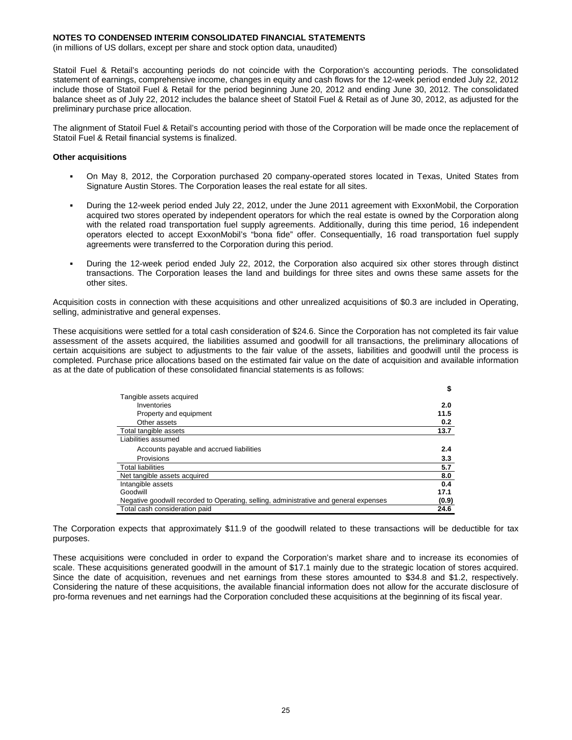(in millions of US dollars, except per share and stock option data, unaudited)

Statoil Fuel & Retail's accounting periods do not coincide with the Corporation's accounting periods. The consolidated statement of earnings, comprehensive income, changes in equity and cash flows for the 12-week period ended July 22, 2012 include those of Statoil Fuel & Retail for the period beginning June 20, 2012 and ending June 30, 2012. The consolidated balance sheet as of July 22, 2012 includes the balance sheet of Statoil Fuel & Retail as of June 30, 2012, as adjusted for the preliminary purchase price allocation.

The alignment of Statoil Fuel & Retail's accounting period with those of the Corporation will be made once the replacement of Statoil Fuel & Retail financial systems is finalized.

#### **Other acquisitions**

- On May 8, 2012, the Corporation purchased 20 company-operated stores located in Texas, United States from Signature Austin Stores. The Corporation leases the real estate for all sites.
- During the 12-week period ended July 22, 2012, under the June 2011 agreement with ExxonMobil, the Corporation acquired two stores operated by independent operators for which the real estate is owned by the Corporation along with the related road transportation fuel supply agreements. Additionally, during this time period, 16 independent operators elected to accept ExxonMobil's "bona fide" offer. Consequentially, 16 road transportation fuel supply agreements were transferred to the Corporation during this period.
- During the 12-week period ended July 22, 2012, the Corporation also acquired six other stores through distinct transactions. The Corporation leases the land and buildings for three sites and owns these same assets for the other sites.

Acquisition costs in connection with these acquisitions and other unrealized acquisitions of \$0.3 are included in Operating, selling, administrative and general expenses.

These acquisitions were settled for a total cash consideration of \$24.6. Since the Corporation has not completed its fair value assessment of the assets acquired, the liabilities assumed and goodwill for all transactions, the preliminary allocations of certain acquisitions are subject to adjustments to the fair value of the assets, liabilities and goodwill until the process is completed. Purchase price allocations based on the estimated fair value on the date of acquisition and available information as at the date of publication of these consolidated financial statements is as follows:

|                                                                                       | \$    |
|---------------------------------------------------------------------------------------|-------|
| Tangible assets acquired                                                              |       |
| Inventories                                                                           | 2.0   |
| Property and equipment                                                                | 11.5  |
| Other assets                                                                          | 0.2   |
| Total tangible assets                                                                 | 13.7  |
| Liabilities assumed                                                                   |       |
| Accounts payable and accrued liabilities                                              | 2.4   |
| Provisions                                                                            | 3.3   |
| <b>Total liabilities</b>                                                              | 5.7   |
| Net tangible assets acquired                                                          | 8.0   |
| Intangible assets                                                                     | 0.4   |
| Goodwill                                                                              | 17.1  |
| Negative goodwill recorded to Operating, selling, administrative and general expenses | (0.9) |
| Total cash consideration paid                                                         | 24.6  |

The Corporation expects that approximately \$11.9 of the goodwill related to these transactions will be deductible for tax purposes.

These acquisitions were concluded in order to expand the Corporation's market share and to increase its economies of scale. These acquisitions generated goodwill in the amount of \$17.1 mainly due to the strategic location of stores acquired. Since the date of acquisition, revenues and net earnings from these stores amounted to \$34.8 and \$1.2, respectively. Considering the nature of these acquisitions, the available financial information does not allow for the accurate disclosure of pro-forma revenues and net earnings had the Corporation concluded these acquisitions at the beginning of its fiscal year.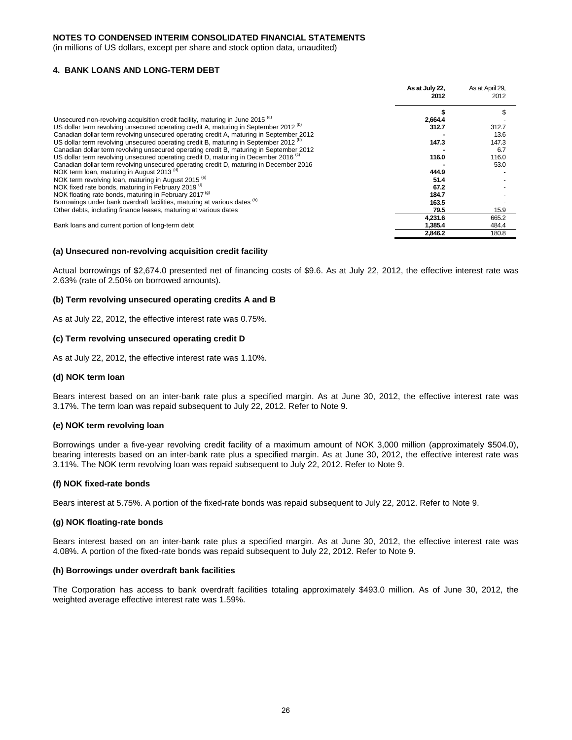(in millions of US dollars, except per share and stock option data, unaudited)

#### **4. BANK LOANS AND LONG-TERM DEBT**

|                                                                                                  | As at July 22,<br>2012 | As at April 29,<br>2012 |
|--------------------------------------------------------------------------------------------------|------------------------|-------------------------|
|                                                                                                  |                        |                         |
| Unsecured non-revolving acquisition credit facility, maturing in June 2015 <sup>(a)</sup>        | 2,664.4                |                         |
| US dollar term revolving unsecured operating credit A, maturing in September 2012 <sup>(b)</sup> | 312.7                  | 312.7                   |
| Canadian dollar term revolving unsecured operating credit A, maturing in September 2012          |                        | 13.6                    |
| US dollar term revolving unsecured operating credit B, maturing in September 2012 <sup>(b)</sup> | 147.3                  | 147.3                   |
| Canadian dollar term revolving unsecured operating credit B, maturing in September 2012          |                        | 6.7                     |
| US dollar term revolving unsecured operating credit D, maturing in December 2016 <sup>(c)</sup>  | 116.0                  | 116.0                   |
| Canadian dollar term revolving unsecured operating credit D, maturing in December 2016           |                        | 53.0                    |
| NOK term Ioan, maturing in August 2013 <sup>(d)</sup>                                            | 444.9                  |                         |
| NOK term revolving loan, maturing in August 2015 <sup>(e)</sup>                                  | 51.4                   |                         |
| NOK fixed rate bonds, maturing in February 2019 <sup>(f)</sup>                                   | 67.2                   |                         |
| NOK floating rate bonds, maturing in February 2017 <sup>(9)</sup>                                | 184.7                  |                         |
| Borrowings under bank overdraft facilities, maturing at various dates (h)                        | 163.5                  |                         |
| Other debts, including finance leases, maturing at various dates                                 | 79.5                   | 15.9                    |
|                                                                                                  | 4.231.6                | 665.2                   |
| Bank loans and current portion of long-term debt                                                 | 1,385.4                | 484.4                   |
|                                                                                                  | 2,846.2                | 180.8                   |

#### **(a) Unsecured non-revolving acquisition credit facility**

Actual borrowings of \$2,674.0 presented net of financing costs of \$9.6. As at July 22, 2012, the effective interest rate was 2.63% (rate of 2.50% on borrowed amounts).

#### **(b) Term revolving unsecured operating credits A and B**

As at July 22, 2012, the effective interest rate was 0.75%.

#### **(c) Term revolving unsecured operating credit D**

As at July 22, 2012, the effective interest rate was 1.10%.

#### **(d) NOK term loan**

Bears interest based on an inter-bank rate plus a specified margin. As at June 30, 2012, the effective interest rate was 3.17%. The term loan was repaid subsequent to July 22, 2012. Refer to Note 9.

#### **(e) NOK term revolving loan**

Borrowings under a five-year revolving credit facility of a maximum amount of NOK 3,000 million (approximately \$504.0), bearing interests based on an inter-bank rate plus a specified margin. As at June 30, 2012, the effective interest rate was 3.11%. The NOK term revolving loan was repaid subsequent to July 22, 2012. Refer to Note 9.

#### **(f) NOK fixed-rate bonds**

Bears interest at 5.75%. A portion of the fixed-rate bonds was repaid subsequent to July 22, 2012. Refer to Note 9.

#### **(g) NOK floating-rate bonds**

Bears interest based on an inter-bank rate plus a specified margin. As at June 30, 2012, the effective interest rate was 4.08%. A portion of the fixed-rate bonds was repaid subsequent to July 22, 2012. Refer to Note 9.

### **(h) Borrowings under overdraft bank facilities**

The Corporation has access to bank overdraft facilities totaling approximately \$493.0 million. As of June 30, 2012, the weighted average effective interest rate was 1.59%.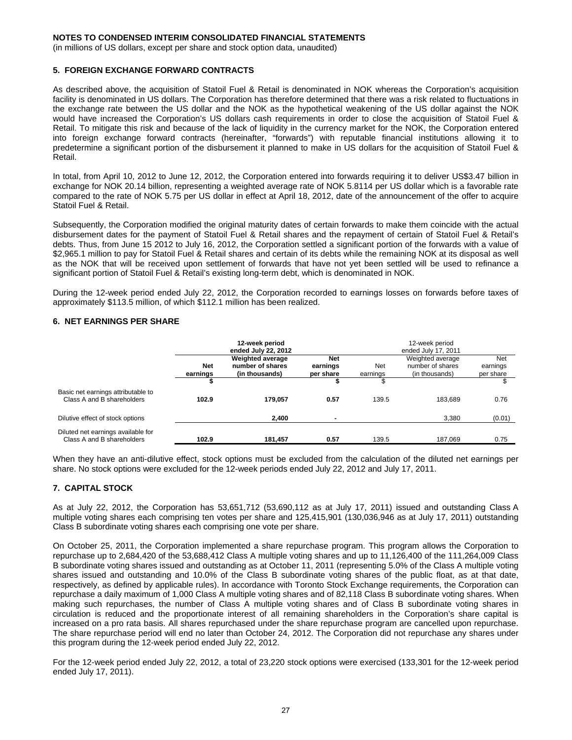(in millions of US dollars, except per share and stock option data, unaudited)

#### **5. FOREIGN EXCHANGE FORWARD CONTRACTS**

As described above, the acquisition of Statoil Fuel & Retail is denominated in NOK whereas the Corporation's acquisition facility is denominated in US dollars. The Corporation has therefore determined that there was a risk related to fluctuations in the exchange rate between the US dollar and the NOK as the hypothetical weakening of the US dollar against the NOK would have increased the Corporation's US dollars cash requirements in order to close the acquisition of Statoil Fuel & Retail. To mitigate this risk and because of the lack of liquidity in the currency market for the NOK, the Corporation entered into foreign exchange forward contracts (hereinafter, "forwards") with reputable financial institutions allowing it to predetermine a significant portion of the disbursement it planned to make in US dollars for the acquisition of Statoil Fuel & Retail.

In total, from April 10, 2012 to June 12, 2012, the Corporation entered into forwards requiring it to deliver US\$3.47 billion in exchange for NOK 20.14 billion, representing a weighted average rate of NOK 5.8114 per US dollar which is a favorable rate compared to the rate of NOK 5.75 per US dollar in effect at April 18, 2012, date of the announcement of the offer to acquire Statoil Fuel & Retail.

Subsequently, the Corporation modified the original maturity dates of certain forwards to make them coincide with the actual disbursement dates for the payment of Statoil Fuel & Retail shares and the repayment of certain of Statoil Fuel & Retail's debts. Thus, from June 15 2012 to July 16, 2012, the Corporation settled a significant portion of the forwards with a value of \$2,965.1 million to pay for Statoil Fuel & Retail shares and certain of its debts while the remaining NOK at its disposal as well as the NOK that will be received upon settlement of forwards that have not yet been settled will be used to refinance a significant portion of Statoil Fuel & Retail's existing long-term debt, which is denominated in NOK.

During the 12-week period ended July 22, 2012, the Corporation recorded to earnings losses on forwards before taxes of approximately \$113.5 million, of which \$112.1 million has been realized.

#### **6. NET EARNINGS PER SHARE**

|                                                                  |                        | 12-week period<br>ended July 22, 2012                         |                                     |                 | 12-week period<br>ended July 17, 2011                  |                              |  |  |
|------------------------------------------------------------------|------------------------|---------------------------------------------------------------|-------------------------------------|-----------------|--------------------------------------------------------|------------------------------|--|--|
|                                                                  | <b>Net</b><br>earnings | <b>Weighted average</b><br>number of shares<br>(in thousands) | <b>Net</b><br>earnings<br>per share | Net<br>earnings | Weighted average<br>number of shares<br>(in thousands) | Net<br>earnings<br>per share |  |  |
|                                                                  |                        |                                                               |                                     |                 |                                                        |                              |  |  |
| Basic net earnings attributable to<br>Class A and B shareholders | 102.9                  | 179.057                                                       | 0.57                                | 139.5           | 183.689                                                | 0.76                         |  |  |
| Dilutive effect of stock options                                 |                        | 2.400                                                         |                                     |                 | 3.380                                                  | (0.01)                       |  |  |
| Diluted net earnings available for<br>Class A and B shareholders | 102.9                  | 181,457                                                       | 0.57                                | 139.5           | 187.069                                                | 0.75                         |  |  |

When they have an anti-dilutive effect, stock options must be excluded from the calculation of the diluted net earnings per share. No stock options were excluded for the 12-week periods ended July 22, 2012 and July 17, 2011.

#### **7. CAPITAL STOCK**

As at July 22, 2012, the Corporation has 53,651,712 (53,690,112 as at July 17, 2011) issued and outstanding Class A multiple voting shares each comprising ten votes per share and 125,415,901 (130,036,946 as at July 17, 2011) outstanding Class B subordinate voting shares each comprising one vote per share.

On October 25, 2011, the Corporation implemented a share repurchase program. This program allows the Corporation to repurchase up to 2,684,420 of the 53,688,412 Class A multiple voting shares and up to 11,126,400 of the 111,264,009 Class B subordinate voting shares issued and outstanding as at October 11, 2011 (representing 5.0% of the Class A multiple voting shares issued and outstanding and 10.0% of the Class B subordinate voting shares of the public float, as at that date, respectively, as defined by applicable rules). In accordance with Toronto Stock Exchange requirements, the Corporation can repurchase a daily maximum of 1,000 Class A multiple voting shares and of 82,118 Class B subordinate voting shares. When making such repurchases, the number of Class A multiple voting shares and of Class B subordinate voting shares in circulation is reduced and the proportionate interest of all remaining shareholders in the Corporation's share capital is increased on a pro rata basis. All shares repurchased under the share repurchase program are cancelled upon repurchase. The share repurchase period will end no later than October 24, 2012. The Corporation did not repurchase any shares under this program during the 12-week period ended July 22, 2012.

For the 12-week period ended July 22, 2012, a total of 23,220 stock options were exercised (133,301 for the 12-week period ended July 17, 2011).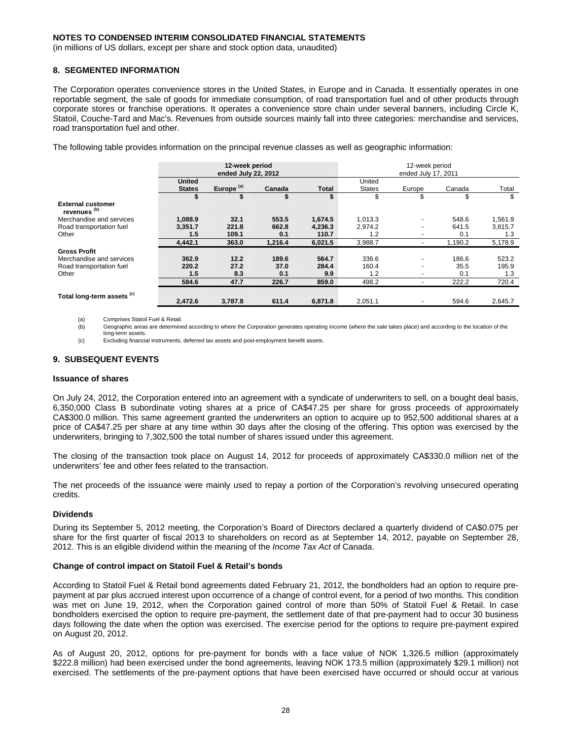(in millions of US dollars, except per share and stock option data, unaudited)

#### **8. SEGMENTED INFORMATION**

The Corporation operates convenience stores in the United States, in Europe and in Canada. It essentially operates in one reportable segment, the sale of goods for immediate consumption, of road transportation fuel and of other products through corporate stores or franchise operations. It operates a convenience store chain under several banners, including Circle K, Statoil, Couche-Tard and Mac's. Revenues from outside sources mainly fall into three categories: merchandise and services, road transportation fuel and other.

The following table provides information on the principal revenue classes as well as geographic information:

|                                                     | 12-week period<br>ended July 22, 2012 |                       |         |              | 12-week period<br>ended July 17, 2011 |                          |         |         |
|-----------------------------------------------------|---------------------------------------|-----------------------|---------|--------------|---------------------------------------|--------------------------|---------|---------|
|                                                     | <b>United</b><br><b>States</b>        | Europe <sup>(a)</sup> | Canada  | <b>Total</b> | United<br><b>States</b>               | Europe                   | Canada  | Total   |
|                                                     | \$                                    |                       |         |              | \$                                    |                          | \$      | \$      |
| <b>External customer</b><br>revenues <sup>(b)</sup> |                                       |                       |         |              |                                       |                          |         |         |
| Merchandise and services                            | 1.088.9                               | 32.1                  | 553.5   | 1.674.5      | 1.013.3                               |                          | 548.6   | 1.561.9 |
| Road transportation fuel                            | 3,351.7                               | 221.8                 | 662.8   | 4,236.3      | 2.974.2                               | ٠                        | 641.5   | 3.615.7 |
| Other                                               | 1.5                                   | 109.1                 | 0.1     | 110.7        | 1.2                                   | $\overline{\phantom{0}}$ | 0.1     | 1.3     |
|                                                     | 4,442.1                               | 363.0                 | 1,216.4 | 6,021.5      | 3,988.7                               |                          | 1,190.2 | 5,178.9 |
| <b>Gross Profit</b>                                 |                                       |                       |         |              |                                       |                          |         |         |
| Merchandise and services                            | 362.9                                 | 12.2                  | 189.6   | 564.7        | 336.6                                 |                          | 186.6   | 523.2   |
| Road transportation fuel                            | 220.2                                 | 27.2                  | 37.0    | 284.4        | 160.4                                 |                          | 35.5    | 195.9   |
| Other                                               | 1.5                                   | 8.3                   | 0.1     | 9.9          | 1.2                                   | ٠                        | 0.1     | 1.3     |
|                                                     | 584.6                                 | 47.7                  | 226.7   | 859.0        | 498.2                                 |                          | 222.2   | 720.4   |
|                                                     |                                       |                       |         |              |                                       |                          |         |         |
| Total long-term assets (c)                          | 2.472.6                               | 3.787.8               | 611.4   | 6,871.8      | 2.051.1                               |                          | 594.6   | 2.645.7 |

(a) Comprises Statoil Fuel & Retail.

(b) Geographic areas are determined according to where the Corporation generates operating income (where the sale takes place) and according to the location of the long-term assets.

(c) Excluding financial instruments, deferred tax assets and post-employment benefit assets.

### **9. SUBSEQUENT EVENTS**

#### **Issuance of shares**

On July 24, 2012, the Corporation entered into an agreement with a syndicate of underwriters to sell, on a bought deal basis, 6,350,000 Class B subordinate voting shares at a price of CA\$47.25 per share for gross proceeds of approximately CA\$300.0 million. This same agreement granted the underwriters an option to acquire up to 952,500 additional shares at a price of CA\$47.25 per share at any time within 30 days after the closing of the offering. This option was exercised by the underwriters, bringing to 7,302,500 the total number of shares issued under this agreement.

The closing of the transaction took place on August 14, 2012 for proceeds of approximately CA\$330.0 million net of the underwriters' fee and other fees related to the transaction.

The net proceeds of the issuance were mainly used to repay a portion of the Corporation's revolving unsecured operating credits.

#### **Dividends**

During its September 5, 2012 meeting, the Corporation's Board of Directors declared a quarterly dividend of CA\$0.075 per share for the first quarter of fiscal 2013 to shareholders on record as at September 14, 2012, payable on September 28, 2012. This is an eligible dividend within the meaning of the *Income Tax Act* of Canada.

#### **Change of control impact on Statoil Fuel & Retail's bonds**

According to Statoil Fuel & Retail bond agreements dated February 21, 2012, the bondholders had an option to require prepayment at par plus accrued interest upon occurrence of a change of control event, for a period of two months. This condition was met on June 19, 2012, when the Corporation gained control of more than 50% of Statoil Fuel & Retail. In case bondholders exercised the option to require pre-payment, the settlement date of that pre-payment had to occur 30 business days following the date when the option was exercised. The exercise period for the options to require pre-payment expired on August 20, 2012.

As of August 20, 2012, options for pre-payment for bonds with a face value of NOK 1,326.5 million (approximately \$222.8 million) had been exercised under the bond agreements, leaving NOK 173.5 million (approximately \$29.1 million) not exercised. The settlements of the pre-payment options that have been exercised have occurred or should occur at various